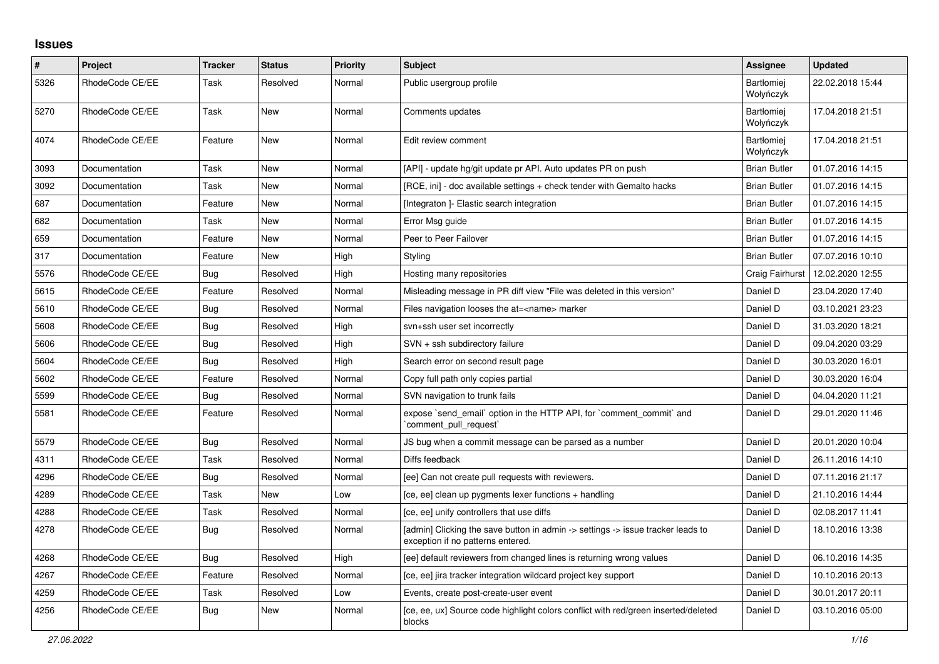## **Issues**

| $\#$ | <b>Project</b>  | <b>Tracker</b> | <b>Status</b> | <b>Priority</b> | <b>Subject</b>                                                                                                       | <b>Assignee</b>                | <b>Updated</b>   |
|------|-----------------|----------------|---------------|-----------------|----------------------------------------------------------------------------------------------------------------------|--------------------------------|------------------|
| 5326 | RhodeCode CE/EE | Task           | Resolved      | Normal          | Public usergroup profile                                                                                             | Bartłomiej<br>Wołyńczyk        | 22.02.2018 15:44 |
| 5270 | RhodeCode CE/EE | Task           | New           | Normal          | Comments updates                                                                                                     | <b>Bartłomiei</b><br>Wołyńczyk | 17.04.2018 21:51 |
| 4074 | RhodeCode CE/EE | Feature        | New           | Normal          | Edit review comment                                                                                                  | Bartłomiej<br>Wołyńczyk        | 17.04.2018 21:51 |
| 3093 | Documentation   | Task           | <b>New</b>    | Normal          | [API] - update hg/git update pr API. Auto updates PR on push                                                         | <b>Brian Butler</b>            | 01.07.2016 14:15 |
| 3092 | Documentation   | Task           | New           | Normal          | [RCE, ini] - doc available settings + check tender with Gemalto hacks                                                | <b>Brian Butler</b>            | 01.07.2016 14:15 |
| 687  | Documentation   | Feature        | New           | Normal          | [Integraton] - Elastic search integration                                                                            | <b>Brian Butler</b>            | 01.07.2016 14:15 |
| 682  | Documentation   | Task           | New           | Normal          | Error Msg guide                                                                                                      | <b>Brian Butler</b>            | 01.07.2016 14:15 |
| 659  | Documentation   | Feature        | <b>New</b>    | Normal          | Peer to Peer Failover                                                                                                | <b>Brian Butler</b>            | 01.07.2016 14:15 |
| 317  | Documentation   | Feature        | New           | High            | Styling                                                                                                              | <b>Brian Butler</b>            | 07.07.2016 10:10 |
| 5576 | RhodeCode CE/EE | <b>Bug</b>     | Resolved      | High            | Hosting many repositories                                                                                            | Craig Fairhurst                | 12.02.2020 12:55 |
| 5615 | RhodeCode CE/EE | Feature        | Resolved      | Normal          | Misleading message in PR diff view "File was deleted in this version"                                                | Daniel D                       | 23.04.2020 17:40 |
| 5610 | RhodeCode CE/EE | Bug            | Resolved      | Normal          | Files navigation looses the at= <name> marker</name>                                                                 | Daniel D                       | 03.10.2021 23:23 |
| 5608 | RhodeCode CE/EE | Bug            | Resolved      | High            | svn+ssh user set incorrectly                                                                                         | Daniel D                       | 31.03.2020 18:21 |
| 5606 | RhodeCode CE/EE | Bug            | Resolved      | High            | SVN + ssh subdirectory failure                                                                                       | Daniel D                       | 09.04.2020 03:29 |
| 5604 | RhodeCode CE/EE | Bug            | Resolved      | High            | Search error on second result page                                                                                   | Daniel D                       | 30.03.2020 16:01 |
| 5602 | RhodeCode CE/EE | Feature        | Resolved      | Normal          | Copy full path only copies partial                                                                                   | Daniel D                       | 30.03.2020 16:04 |
| 5599 | RhodeCode CE/EE | <b>Bug</b>     | Resolved      | Normal          | SVN navigation to trunk fails                                                                                        | Daniel D                       | 04.04.2020 11:21 |
| 5581 | RhodeCode CE/EE | Feature        | Resolved      | Normal          | expose `send_email` option in the HTTP API, for `comment_commit` and<br>`comment_pull_request`                       | Daniel D                       | 29.01.2020 11:46 |
| 5579 | RhodeCode CE/EE | <b>Bug</b>     | Resolved      | Normal          | JS bug when a commit message can be parsed as a number                                                               | Daniel D                       | 20.01.2020 10:04 |
| 4311 | RhodeCode CE/EE | Task           | Resolved      | Normal          | Diffs feedback                                                                                                       | Daniel D                       | 26.11.2016 14:10 |
| 4296 | RhodeCode CE/EE | Bug            | Resolved      | Normal          | [ee] Can not create pull requests with reviewers.                                                                    | Daniel D                       | 07.11.2016 21:17 |
| 4289 | RhodeCode CE/EE | Task           | <b>New</b>    | Low             | [ce, ee] clean up pygments lexer functions + handling                                                                | Daniel D                       | 21.10.2016 14:44 |
| 4288 | RhodeCode CE/EE | Task           | Resolved      | Normal          | [ce, ee] unify controllers that use diffs                                                                            | Daniel D                       | 02.08.2017 11:41 |
| 4278 | RhodeCode CE/EE | <b>Bug</b>     | Resolved      | Normal          | [admin] Clicking the save button in admin -> settings -> issue tracker leads to<br>exception if no patterns entered. | Daniel D                       | 18.10.2016 13:38 |
| 4268 | RhodeCode CE/EE | <b>Bug</b>     | Resolved      | High            | [ee] default reviewers from changed lines is returning wrong values                                                  | Daniel D                       | 06.10.2016 14:35 |
| 4267 | RhodeCode CE/EE | Feature        | Resolved      | Normal          | [ce, ee] jira tracker integration wildcard project key support                                                       | Daniel D                       | 10.10.2016 20:13 |
| 4259 | RhodeCode CE/EE | Task           | Resolved      | Low             | Events, create post-create-user event                                                                                | Daniel D                       | 30.01.2017 20:11 |
| 4256 | RhodeCode CE/EE | Bug            | New           | Normal          | [ce, ee, ux] Source code highlight colors conflict with red/green inserted/deleted<br>blocks                         | Daniel D                       | 03.10.2016 05:00 |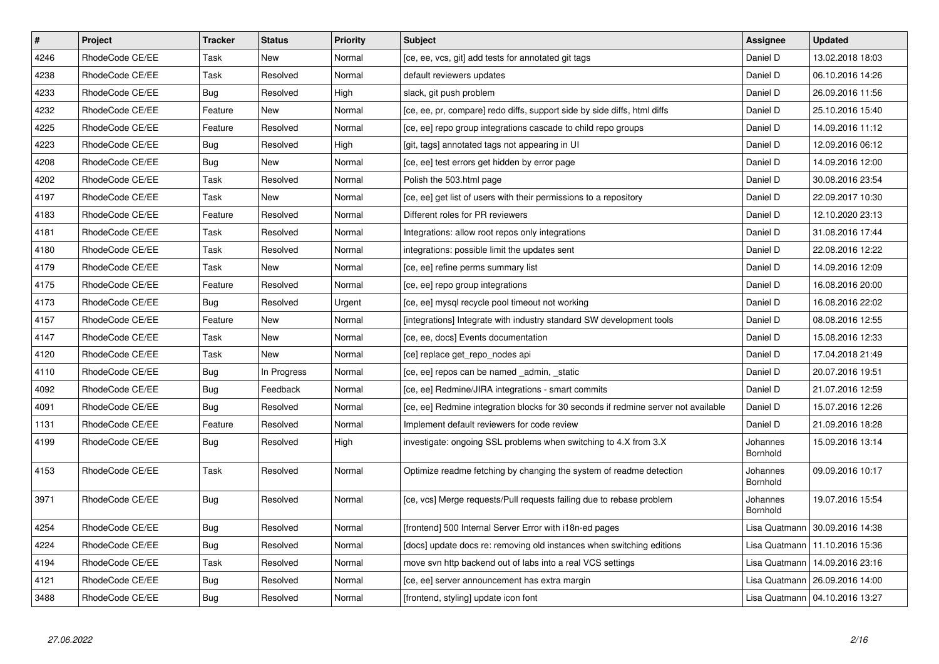| $\pmb{\#}$ | <b>Project</b>  | <b>Tracker</b> | <b>Status</b> | <b>Priority</b> | <b>Subject</b>                                                                     | <b>Assignee</b>      | <b>Updated</b>                   |
|------------|-----------------|----------------|---------------|-----------------|------------------------------------------------------------------------------------|----------------------|----------------------------------|
| 4246       | RhodeCode CE/EE | Task           | <b>New</b>    | Normal          | [ce, ee, vcs, git] add tests for annotated git tags                                | Daniel D             | 13.02.2018 18:03                 |
| 4238       | RhodeCode CE/EE | Task           | Resolved      | Normal          | default reviewers updates                                                          | Daniel D             | 06.10.2016 14:26                 |
| 4233       | RhodeCode CE/EE | Bug            | Resolved      | High            | slack, git push problem                                                            | Daniel D             | 26.09.2016 11:56                 |
| 4232       | RhodeCode CE/EE | Feature        | <b>New</b>    | Normal          | [ce, ee, pr, compare] redo diffs, support side by side diffs, html diffs           | Daniel D             | 25.10.2016 15:40                 |
| 4225       | RhodeCode CE/EE | Feature        | Resolved      | Normal          | [ce, ee] repo group integrations cascade to child repo groups                      | Daniel D             | 14.09.2016 11:12                 |
| 4223       | RhodeCode CE/EE | Bug            | Resolved      | High            | [git, tags] annotated tags not appearing in UI                                     | Daniel D             | 12.09.2016 06:12                 |
| 4208       | RhodeCode CE/EE | Bug            | New           | Normal          | [ce, ee] test errors get hidden by error page                                      | Daniel D             | 14.09.2016 12:00                 |
| 4202       | RhodeCode CE/EE | Task           | Resolved      | Normal          | Polish the 503.html page                                                           | Daniel D             | 30.08.2016 23:54                 |
| 4197       | RhodeCode CE/EE | Task           | New           | Normal          | [ce, ee] get list of users with their permissions to a repository                  | Daniel D             | 22.09.2017 10:30                 |
| 4183       | RhodeCode CE/EE | Feature        | Resolved      | Normal          | Different roles for PR reviewers                                                   | Daniel D             | 12.10.2020 23:13                 |
| 4181       | RhodeCode CE/EE | Task           | Resolved      | Normal          | Integrations: allow root repos only integrations                                   | Daniel D             | 31.08.2016 17:44                 |
| 4180       | RhodeCode CE/EE | Task           | Resolved      | Normal          | integrations: possible limit the updates sent                                      | Daniel D             | 22.08.2016 12:22                 |
| 4179       | RhodeCode CE/EE | Task           | <b>New</b>    | Normal          | [ce, ee] refine perms summary list                                                 | Daniel D             | 14.09.2016 12:09                 |
| 4175       | RhodeCode CE/EE | Feature        | Resolved      | Normal          | [ce, ee] repo group integrations                                                   | Daniel D             | 16.08.2016 20:00                 |
| 4173       | RhodeCode CE/EE | Bug            | Resolved      | Urgent          | [ce, ee] mysql recycle pool timeout not working                                    | Daniel D             | 16.08.2016 22:02                 |
| 4157       | RhodeCode CE/EE | Feature        | New           | Normal          | [integrations] Integrate with industry standard SW development tools               | Daniel D             | 08.08.2016 12:55                 |
| 4147       | RhodeCode CE/EE | Task           | New           | Normal          | [ce, ee, docs] Events documentation                                                | Daniel D             | 15.08.2016 12:33                 |
| 4120       | RhodeCode CE/EE | Task           | New           | Normal          | [ce] replace get_repo_nodes api                                                    | Daniel D             | 17.04.2018 21:49                 |
| 4110       | RhodeCode CE/EE | <b>Bug</b>     | In Progress   | Normal          | [ce, ee] repos can be named _admin, _static                                        | Daniel D             | 20.07.2016 19:51                 |
| 4092       | RhodeCode CE/EE | Bug            | Feedback      | Normal          | [ce, ee] Redmine/JIRA integrations - smart commits                                 | Daniel D             | 21.07.2016 12:59                 |
| 4091       | RhodeCode CE/EE | Bug            | Resolved      | Normal          | [ce, ee] Redmine integration blocks for 30 seconds if redmine server not available | Daniel D             | 15.07.2016 12:26                 |
| 1131       | RhodeCode CE/EE | Feature        | Resolved      | Normal          | Implement default reviewers for code review                                        | Daniel D             | 21.09.2016 18:28                 |
| 4199       | RhodeCode CE/EE | Bug            | Resolved      | High            | investigate: ongoing SSL problems when switching to 4.X from 3.X                   | Johannes<br>Bornhold | 15.09.2016 13:14                 |
| 4153       | RhodeCode CE/EE | Task           | Resolved      | Normal          | Optimize readme fetching by changing the system of readme detection                | Johannes<br>Bornhold | 09.09.2016 10:17                 |
| 3971       | RhodeCode CE/EE | <b>Bug</b>     | Resolved      | Normal          | [ce, vcs] Merge requests/Pull requests failing due to rebase problem               | Johannes<br>Bornhold | 19.07.2016 15:54                 |
| 4254       | RhodeCode CE/EE | <b>Bug</b>     | Resolved      | Normal          | [frontend] 500 Internal Server Error with i18n-ed pages                            | Lisa Quatmann        | 30.09.2016 14:38                 |
| 4224       | RhodeCode CE/EE | <b>Bug</b>     | Resolved      | Normal          | [docs] update docs re: removing old instances when switching editions              |                      | Lisa Quatmann   11.10.2016 15:36 |
| 4194       | RhodeCode CE/EE | Task           | Resolved      | Normal          | move svn http backend out of labs into a real VCS settings                         | Lisa Quatmann        | 14.09.2016 23:16                 |
| 4121       | RhodeCode CE/EE | Bug            | Resolved      | Normal          | [ce, ee] server announcement has extra margin                                      |                      | Lisa Quatmann   26.09.2016 14:00 |
| 3488       | RhodeCode CE/EE | Bug            | Resolved      | Normal          | [frontend, styling] update icon font                                               |                      | Lisa Quatmann   04.10.2016 13:27 |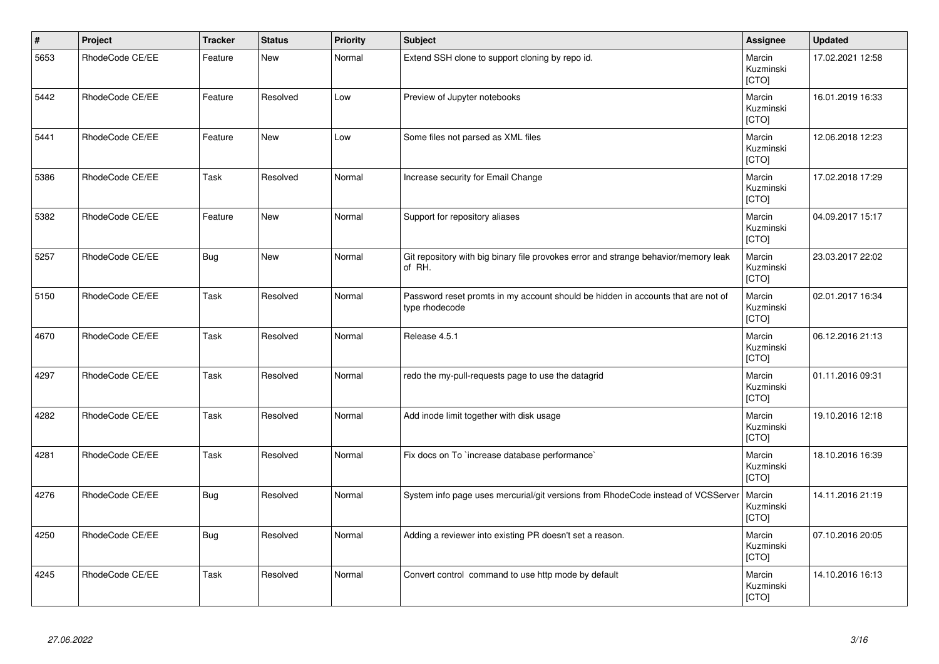| $\vert$ # | Project         | <b>Tracker</b> | <b>Status</b> | <b>Priority</b> | <b>Subject</b>                                                                                     | Assignee                            | <b>Updated</b>   |
|-----------|-----------------|----------------|---------------|-----------------|----------------------------------------------------------------------------------------------------|-------------------------------------|------------------|
| 5653      | RhodeCode CE/EE | Feature        | <b>New</b>    | Normal          | Extend SSH clone to support cloning by repo id.                                                    | Marcin<br>Kuzminski<br>[CTO]        | 17.02.2021 12:58 |
| 5442      | RhodeCode CE/EE | Feature        | Resolved      | Low             | Preview of Jupyter notebooks                                                                       | Marcin<br>Kuzminski<br>[CTO]        | 16.01.2019 16:33 |
| 5441      | RhodeCode CE/EE | Feature        | <b>New</b>    | Low             | Some files not parsed as XML files                                                                 | Marcin<br>Kuzminski<br><b>[CTO]</b> | 12.06.2018 12:23 |
| 5386      | RhodeCode CE/EE | Task           | Resolved      | Normal          | Increase security for Email Change                                                                 | Marcin<br>Kuzminski<br>[CTO]        | 17.02.2018 17:29 |
| 5382      | RhodeCode CE/EE | Feature        | <b>New</b>    | Normal          | Support for repository aliases                                                                     | Marcin<br>Kuzminski<br>[CTO]        | 04.09.2017 15:17 |
| 5257      | RhodeCode CE/EE | <b>Bug</b>     | <b>New</b>    | Normal          | Git repository with big binary file provokes error and strange behavior/memory leak<br>of RH.      | Marcin<br>Kuzminski<br>[CTO]        | 23.03.2017 22:02 |
| 5150      | RhodeCode CE/EE | Task           | Resolved      | Normal          | Password reset promts in my account should be hidden in accounts that are not of<br>type rhodecode | Marcin<br>Kuzminski<br>[CTO]        | 02.01.2017 16:34 |
| 4670      | RhodeCode CE/EE | Task           | Resolved      | Normal          | Release 4.5.1                                                                                      | Marcin<br>Kuzminski<br>[CTO]        | 06.12.2016 21:13 |
| 4297      | RhodeCode CE/EE | Task           | Resolved      | Normal          | redo the my-pull-requests page to use the datagrid                                                 | Marcin<br>Kuzminski<br>[CTO]        | 01.11.2016 09:31 |
| 4282      | RhodeCode CE/EE | Task           | Resolved      | Normal          | Add inode limit together with disk usage                                                           | Marcin<br>Kuzminski<br>[CTO]        | 19.10.2016 12:18 |
| 4281      | RhodeCode CE/EE | Task           | Resolved      | Normal          | Fix docs on To `increase database performance`                                                     | Marcin<br>Kuzminski<br>[CTO]        | 18.10.2016 16:39 |
| 4276      | RhodeCode CE/EE | <b>Bug</b>     | Resolved      | Normal          | System info page uses mercurial/git versions from RhodeCode instead of VCSServer                   | Marcin<br>Kuzminski<br>[CTO]        | 14.11.2016 21:19 |
| 4250      | RhodeCode CE/EE | Bug            | Resolved      | Normal          | Adding a reviewer into existing PR doesn't set a reason.                                           | Marcin<br>Kuzminski<br>[CTO]        | 07.10.2016 20:05 |
| 4245      | RhodeCode CE/EE | Task           | Resolved      | Normal          | Convert control command to use http mode by default                                                | Marcin<br>Kuzminski<br>[CTO]        | 14.10.2016 16:13 |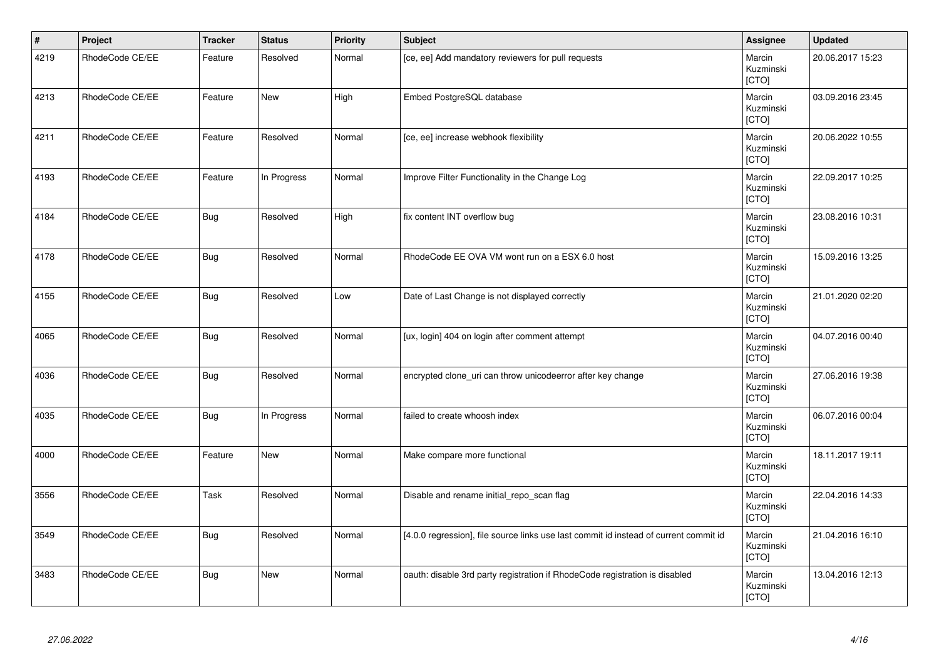| $\vert$ # | Project         | <b>Tracker</b> | <b>Status</b> | <b>Priority</b> | <b>Subject</b>                                                                        | Assignee                     | <b>Updated</b>   |
|-----------|-----------------|----------------|---------------|-----------------|---------------------------------------------------------------------------------------|------------------------------|------------------|
| 4219      | RhodeCode CE/EE | Feature        | Resolved      | Normal          | [ce, ee] Add mandatory reviewers for pull requests                                    | Marcin<br>Kuzminski<br>[CTO] | 20.06.2017 15:23 |
| 4213      | RhodeCode CE/EE | Feature        | New           | High            | Embed PostgreSQL database                                                             | Marcin<br>Kuzminski<br>[CTO] | 03.09.2016 23:45 |
| 4211      | RhodeCode CE/EE | Feature        | Resolved      | Normal          | [ce, ee] increase webhook flexibility                                                 | Marcin<br>Kuzminski<br>[CTO] | 20.06.2022 10:55 |
| 4193      | RhodeCode CE/EE | Feature        | In Progress   | Normal          | Improve Filter Functionality in the Change Log                                        | Marcin<br>Kuzminski<br>[CTO] | 22.09.2017 10:25 |
| 4184      | RhodeCode CE/EE | Bug            | Resolved      | High            | fix content INT overflow bug                                                          | Marcin<br>Kuzminski<br>[CTO] | 23.08.2016 10:31 |
| 4178      | RhodeCode CE/EE | <b>Bug</b>     | Resolved      | Normal          | RhodeCode EE OVA VM wont run on a ESX 6.0 host                                        | Marcin<br>Kuzminski<br>[CTO] | 15.09.2016 13:25 |
| 4155      | RhodeCode CE/EE | <b>Bug</b>     | Resolved      | Low             | Date of Last Change is not displayed correctly                                        | Marcin<br>Kuzminski<br>[CTO] | 21.01.2020 02:20 |
| 4065      | RhodeCode CE/EE | <b>Bug</b>     | Resolved      | Normal          | [ux, login] 404 on login after comment attempt                                        | Marcin<br>Kuzminski<br>[CTO] | 04.07.2016 00:40 |
| 4036      | RhodeCode CE/EE | <b>Bug</b>     | Resolved      | Normal          | encrypted clone uri can throw unicodeerror after key change                           | Marcin<br>Kuzminski<br>[CTO] | 27.06.2016 19:38 |
| 4035      | RhodeCode CE/EE | <b>Bug</b>     | In Progress   | Normal          | failed to create whoosh index                                                         | Marcin<br>Kuzminski<br>[CTO] | 06.07.2016 00:04 |
| 4000      | RhodeCode CE/EE | Feature        | <b>New</b>    | Normal          | Make compare more functional                                                          | Marcin<br>Kuzminski<br>[CTO] | 18.11.2017 19:11 |
| 3556      | RhodeCode CE/EE | Task           | Resolved      | Normal          | Disable and rename initial_repo_scan flag                                             | Marcin<br>Kuzminski<br>[CTO] | 22.04.2016 14:33 |
| 3549      | RhodeCode CE/EE | Bug            | Resolved      | Normal          | [4.0.0 regression], file source links use last commit id instead of current commit id | Marcin<br>Kuzminski<br>[CTO] | 21.04.2016 16:10 |
| 3483      | RhodeCode CE/EE | <b>Bug</b>     | New           | Normal          | oauth: disable 3rd party registration if RhodeCode registration is disabled           | Marcin<br>Kuzminski<br>[CTO] | 13.04.2016 12:13 |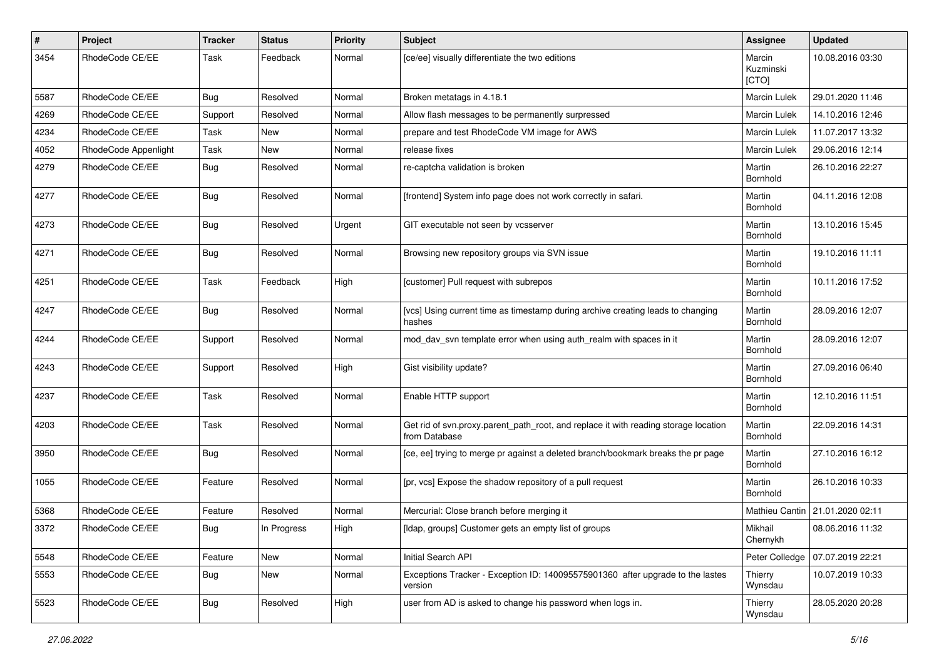| $\pmb{\#}$ | <b>Project</b>       | <b>Tracker</b> | <b>Status</b> | <b>Priority</b> | <b>Subject</b>                                                                                       | Assignee                     | <b>Updated</b>                  |
|------------|----------------------|----------------|---------------|-----------------|------------------------------------------------------------------------------------------------------|------------------------------|---------------------------------|
| 3454       | RhodeCode CE/EE      | Task           | Feedback      | Normal          | [ce/ee] visually differentiate the two editions                                                      | Marcin<br>Kuzminski<br>[CTO] | 10.08.2016 03:30                |
| 5587       | RhodeCode CE/EE      | Bug            | Resolved      | Normal          | Broken metatags in 4.18.1                                                                            | <b>Marcin Lulek</b>          | 29.01.2020 11:46                |
| 4269       | RhodeCode CE/EE      | Support        | Resolved      | Normal          | Allow flash messages to be permanently surpressed                                                    | Marcin Lulek                 | 14.10.2016 12:46                |
| 4234       | RhodeCode CE/EE      | Task           | New           | Normal          | prepare and test RhodeCode VM image for AWS                                                          | Marcin Lulek                 | 11.07.2017 13:32                |
| 4052       | RhodeCode Appenlight | Task           | New           | Normal          | release fixes                                                                                        | <b>Marcin Lulek</b>          | 29.06.2016 12:14                |
| 4279       | RhodeCode CE/EE      | Bug            | Resolved      | Normal          | re-captcha validation is broken                                                                      | Martin<br>Bornhold           | 26.10.2016 22:27                |
| 4277       | RhodeCode CE/EE      | Bug            | Resolved      | Normal          | [frontend] System info page does not work correctly in safari.                                       | Martin<br>Bornhold           | 04.11.2016 12:08                |
| 4273       | RhodeCode CE/EE      | Bug            | Resolved      | Urgent          | GIT executable not seen by vcsserver                                                                 | Martin<br>Bornhold           | 13.10.2016 15:45                |
| 4271       | RhodeCode CE/EE      | Bug            | Resolved      | Normal          | Browsing new repository groups via SVN issue                                                         | Martin<br>Bornhold           | 19.10.2016 11:11                |
| 4251       | RhodeCode CE/EE      | <b>Task</b>    | Feedback      | High            | [customer] Pull request with subrepos                                                                | Martin<br>Bornhold           | 10.11.2016 17:52                |
| 4247       | RhodeCode CE/EE      | Bug            | Resolved      | Normal          | [vcs] Using current time as timestamp during archive creating leads to changing<br>hashes            | Martin<br>Bornhold           | 28.09.2016 12:07                |
| 4244       | RhodeCode CE/EE      | Support        | Resolved      | Normal          | mod_dav_svn template error when using auth_realm with spaces in it                                   | Martin<br>Bornhold           | 28.09.2016 12:07                |
| 4243       | RhodeCode CE/EE      | Support        | Resolved      | High            | Gist visibility update?                                                                              | Martin<br>Bornhold           | 27.09.2016 06:40                |
| 4237       | RhodeCode CE/EE      | Task           | Resolved      | Normal          | Enable HTTP support                                                                                  | Martin<br>Bornhold           | 12.10.2016 11:51                |
| 4203       | RhodeCode CE/EE      | Task           | Resolved      | Normal          | Get rid of svn.proxy.parent_path_root, and replace it with reading storage location<br>from Database | Martin<br>Bornhold           | 22.09.2016 14:31                |
| 3950       | RhodeCode CE/EE      | Bug            | Resolved      | Normal          | [ce, ee] trying to merge pr against a deleted branch/bookmark breaks the pr page                     | Martin<br>Bornhold           | 27.10.2016 16:12                |
| 1055       | RhodeCode CE/EE      | Feature        | Resolved      | Normal          | [pr, vcs] Expose the shadow repository of a pull request                                             | Martin<br>Bornhold           | 26.10.2016 10:33                |
| 5368       | RhodeCode CE/EE      | Feature        | Resolved      | Normal          | Mercurial: Close branch before merging it                                                            |                              | Mathieu Cantin 21.01.2020 02:11 |
| 3372       | RhodeCode CE/EE      | Bug            | In Progress   | High            | [Idap, groups] Customer gets an empty list of groups                                                 | Mikhail<br>Chernykh          | 08.06.2016 11:32                |
| 5548       | RhodeCode CE/EE      | Feature        | New           | Normal          | Initial Search API                                                                                   | Peter Colledge               | 07.07.2019 22:21                |
| 5553       | RhodeCode CE/EE      | <b>Bug</b>     | New           | Normal          | Exceptions Tracker - Exception ID: 140095575901360 after upgrade to the lastes<br>version            | Thierry<br>Wynsdau           | 10.07.2019 10:33                |
| 5523       | RhodeCode CE/EE      | Bug            | Resolved      | High            | user from AD is asked to change his password when logs in.                                           | Thierry<br>Wynsdau           | 28.05.2020 20:28                |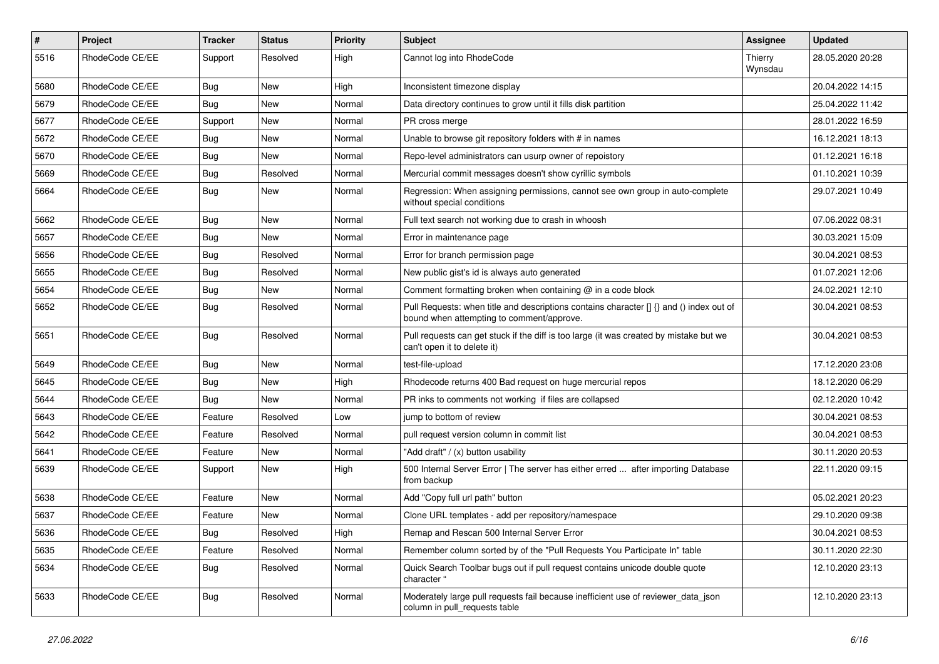| #    | Project         | <b>Tracker</b> | <b>Status</b> | <b>Priority</b> | <b>Subject</b>                                                                                                                       | <b>Assignee</b>    | <b>Updated</b>   |
|------|-----------------|----------------|---------------|-----------------|--------------------------------------------------------------------------------------------------------------------------------------|--------------------|------------------|
| 5516 | RhodeCode CE/EE | Support        | Resolved      | High            | Cannot log into RhodeCode                                                                                                            | Thierry<br>Wynsdau | 28.05.2020 20:28 |
| 5680 | RhodeCode CE/EE | Bug            | New           | High            | Inconsistent timezone display                                                                                                        |                    | 20.04.2022 14:15 |
| 5679 | RhodeCode CE/EE | Bug            | New           | Normal          | Data directory continues to grow until it fills disk partition                                                                       |                    | 25.04.2022 11:42 |
| 5677 | RhodeCode CE/EE | Support        | New           | Normal          | PR cross merge                                                                                                                       |                    | 28.01.2022 16:59 |
| 5672 | RhodeCode CE/EE | Bug            | New           | Normal          | Unable to browse git repository folders with # in names                                                                              |                    | 16.12.2021 18:13 |
| 5670 | RhodeCode CE/EE | <b>Bug</b>     | <b>New</b>    | Normal          | Repo-level administrators can usurp owner of repoistory                                                                              |                    | 01.12.2021 16:18 |
| 5669 | RhodeCode CE/EE | Bug            | Resolved      | Normal          | Mercurial commit messages doesn't show cyrillic symbols                                                                              |                    | 01.10.2021 10:39 |
| 5664 | RhodeCode CE/EE | Bug            | New           | Normal          | Regression: When assigning permissions, cannot see own group in auto-complete<br>without special conditions                          |                    | 29.07.2021 10:49 |
| 5662 | RhodeCode CE/EE | Bug            | New           | Normal          | Full text search not working due to crash in whoosh                                                                                  |                    | 07.06.2022 08:31 |
| 5657 | RhodeCode CE/EE | Bug            | New           | Normal          | Error in maintenance page                                                                                                            |                    | 30.03.2021 15:09 |
| 5656 | RhodeCode CE/EE | Bug            | Resolved      | Normal          | Error for branch permission page                                                                                                     |                    | 30.04.2021 08:53 |
| 5655 | RhodeCode CE/EE | Bug            | Resolved      | Normal          | New public gist's id is always auto generated                                                                                        |                    | 01.07.2021 12:06 |
| 5654 | RhodeCode CE/EE | Bug            | <b>New</b>    | Normal          | Comment formatting broken when containing $@$ in a code block                                                                        |                    | 24.02.2021 12:10 |
| 5652 | RhodeCode CE/EE | Bug            | Resolved      | Normal          | Pull Requests: when title and descriptions contains character [] {} and () index out of<br>bound when attempting to comment/approve. |                    | 30.04.2021 08:53 |
| 5651 | RhodeCode CE/EE | Bug            | Resolved      | Normal          | Pull requests can get stuck if the diff is too large (it was created by mistake but we<br>can't open it to delete it)                |                    | 30.04.2021 08:53 |
| 5649 | RhodeCode CE/EE | <b>Bug</b>     | New           | Normal          | test-file-upload                                                                                                                     |                    | 17.12.2020 23:08 |
| 5645 | RhodeCode CE/EE | Bug            | New           | High            | Rhodecode returns 400 Bad request on huge mercurial repos                                                                            |                    | 18.12.2020 06:29 |
| 5644 | RhodeCode CE/EE | Bug            | New           | Normal          | PR inks to comments not working if files are collapsed                                                                               |                    | 02.12.2020 10:42 |
| 5643 | RhodeCode CE/EE | Feature        | Resolved      | Low             | jump to bottom of review                                                                                                             |                    | 30.04.2021 08:53 |
| 5642 | RhodeCode CE/EE | Feature        | Resolved      | Normal          | pull request version column in commit list                                                                                           |                    | 30.04.2021 08:53 |
| 5641 | RhodeCode CE/EE | Feature        | New           | Normal          | "Add draft" / (x) button usability                                                                                                   |                    | 30.11.2020 20:53 |
| 5639 | RhodeCode CE/EE | Support        | <b>New</b>    | High            | 500 Internal Server Error   The server has either erred  after importing Database<br>from backup                                     |                    | 22.11.2020 09:15 |
| 5638 | RhodeCode CE/EE | Feature        | <b>New</b>    | Normal          | Add "Copy full url path" button                                                                                                      |                    | 05.02.2021 20:23 |
| 5637 | RhodeCode CE/EE | Feature        | New           | Normal          | Clone URL templates - add per repository/namespace                                                                                   |                    | 29.10.2020 09:38 |
| 5636 | RhodeCode CE/EE | <b>Bug</b>     | Resolved      | High            | Remap and Rescan 500 Internal Server Error                                                                                           |                    | 30.04.2021 08:53 |
| 5635 | RhodeCode CE/EE | Feature        | Resolved      | Normal          | Remember column sorted by of the "Pull Requests You Participate In" table                                                            |                    | 30.11.2020 22:30 |
| 5634 | RhodeCode CE/EE | <b>Bug</b>     | Resolved      | Normal          | Quick Search Toolbar bugs out if pull request contains unicode double quote<br>character "                                           |                    | 12.10.2020 23:13 |
| 5633 | RhodeCode CE/EE | Bug            | Resolved      | Normal          | Moderately large pull requests fail because inefficient use of reviewer_data_json<br>column in pull_requests table                   |                    | 12.10.2020 23:13 |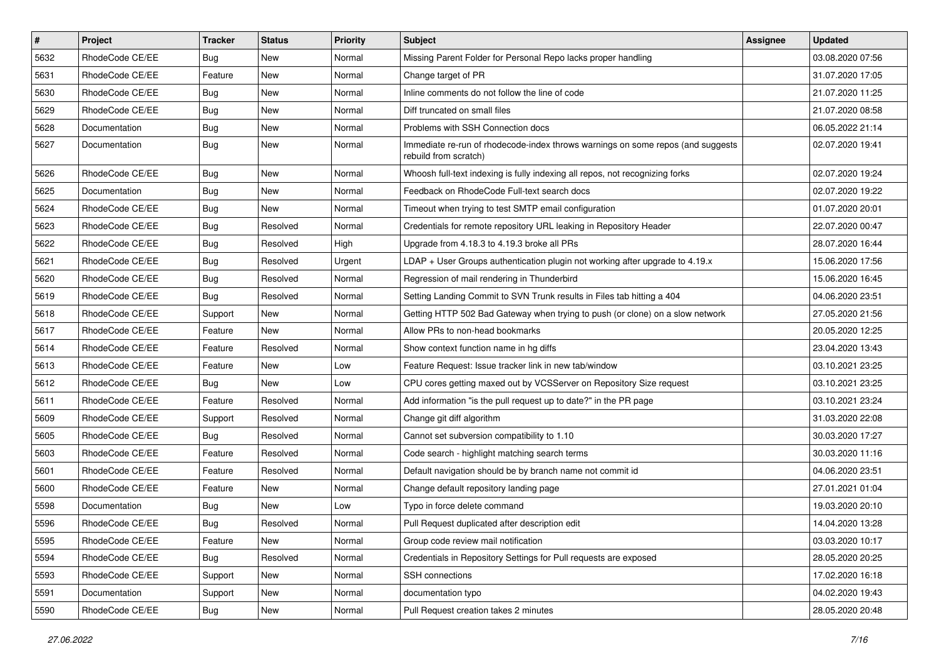| $\pmb{\#}$ | Project         | <b>Tracker</b> | <b>Status</b> | <b>Priority</b> | <b>Subject</b>                                                                                           | Assignee | <b>Updated</b>   |
|------------|-----------------|----------------|---------------|-----------------|----------------------------------------------------------------------------------------------------------|----------|------------------|
| 5632       | RhodeCode CE/EE | Bug            | New           | Normal          | Missing Parent Folder for Personal Repo lacks proper handling                                            |          | 03.08.2020 07:56 |
| 5631       | RhodeCode CE/EE | Feature        | <b>New</b>    | Normal          | Change target of PR                                                                                      |          | 31.07.2020 17:05 |
| 5630       | RhodeCode CE/EE | Bug            | New           | Normal          | Inline comments do not follow the line of code                                                           |          | 21.07.2020 11:25 |
| 5629       | RhodeCode CE/EE | Bug            | New           | Normal          | Diff truncated on small files                                                                            |          | 21.07.2020 08:58 |
| 5628       | Documentation   | Bug            | <b>New</b>    | Normal          | Problems with SSH Connection docs                                                                        |          | 06.05.2022 21:14 |
| 5627       | Documentation   | Bug            | New           | Normal          | Immediate re-run of rhodecode-index throws warnings on some repos (and suggests<br>rebuild from scratch) |          | 02.07.2020 19:41 |
| 5626       | RhodeCode CE/EE | Bug            | <b>New</b>    | Normal          | Whoosh full-text indexing is fully indexing all repos, not recognizing forks                             |          | 02.07.2020 19:24 |
| 5625       | Documentation   | <b>Bug</b>     | New           | Normal          | Feedback on RhodeCode Full-text search docs                                                              |          | 02.07.2020 19:22 |
| 5624       | RhodeCode CE/EE | Bug            | <b>New</b>    | Normal          | Timeout when trying to test SMTP email configuration                                                     |          | 01.07.2020 20:01 |
| 5623       | RhodeCode CE/EE | Bug            | Resolved      | Normal          | Credentials for remote repository URL leaking in Repository Header                                       |          | 22.07.2020 00:47 |
| 5622       | RhodeCode CE/EE | <b>Bug</b>     | Resolved      | High            | Upgrade from 4.18.3 to 4.19.3 broke all PRs                                                              |          | 28.07.2020 16:44 |
| 5621       | RhodeCode CE/EE | Bug            | Resolved      | Urgent          | LDAP + User Groups authentication plugin not working after upgrade to 4.19.x                             |          | 15.06.2020 17:56 |
| 5620       | RhodeCode CE/EE | Bug            | Resolved      | Normal          | Regression of mail rendering in Thunderbird                                                              |          | 15.06.2020 16:45 |
| 5619       | RhodeCode CE/EE | Bug            | Resolved      | Normal          | Setting Landing Commit to SVN Trunk results in Files tab hitting a 404                                   |          | 04.06.2020 23:51 |
| 5618       | RhodeCode CE/EE | Support        | New           | Normal          | Getting HTTP 502 Bad Gateway when trying to push (or clone) on a slow network                            |          | 27.05.2020 21:56 |
| 5617       | RhodeCode CE/EE | Feature        | New           | Normal          | Allow PRs to non-head bookmarks                                                                          |          | 20.05.2020 12:25 |
| 5614       | RhodeCode CE/EE | Feature        | Resolved      | Normal          | Show context function name in hg diffs                                                                   |          | 23.04.2020 13:43 |
| 5613       | RhodeCode CE/EE | Feature        | New           | Low             | Feature Request: Issue tracker link in new tab/window                                                    |          | 03.10.2021 23:25 |
| 5612       | RhodeCode CE/EE | Bug            | New           | Low             | CPU cores getting maxed out by VCSServer on Repository Size request                                      |          | 03.10.2021 23:25 |
| 5611       | RhodeCode CE/EE | Feature        | Resolved      | Normal          | Add information "is the pull request up to date?" in the PR page                                         |          | 03.10.2021 23:24 |
| 5609       | RhodeCode CE/EE | Support        | Resolved      | Normal          | Change git diff algorithm                                                                                |          | 31.03.2020 22:08 |
| 5605       | RhodeCode CE/EE | Bug            | Resolved      | Normal          | Cannot set subversion compatibility to 1.10                                                              |          | 30.03.2020 17:27 |
| 5603       | RhodeCode CE/EE | Feature        | Resolved      | Normal          | Code search - highlight matching search terms                                                            |          | 30.03.2020 11:16 |
| 5601       | RhodeCode CE/EE | Feature        | Resolved      | Normal          | Default navigation should be by branch name not commit id                                                |          | 04.06.2020 23:51 |
| 5600       | RhodeCode CE/EE | Feature        | <b>New</b>    | Normal          | Change default repository landing page                                                                   |          | 27.01.2021 01:04 |
| 5598       | Documentation   | Bug            | <b>New</b>    | Low             | Typo in force delete command                                                                             |          | 19.03.2020 20:10 |
| 5596       | RhodeCode CE/EE | Bug            | Resolved      | Normal          | Pull Request duplicated after description edit                                                           |          | 14.04.2020 13:28 |
| 5595       | RhodeCode CE/EE | Feature        | New           | Normal          | Group code review mail notification                                                                      |          | 03.03.2020 10:17 |
| 5594       | RhodeCode CE/EE | Bug            | Resolved      | Normal          | Credentials in Repository Settings for Pull requests are exposed                                         |          | 28.05.2020 20:25 |
| 5593       | RhodeCode CE/EE | Support        | New           | Normal          | SSH connections                                                                                          |          | 17.02.2020 16:18 |
| 5591       | Documentation   | Support        | New           | Normal          | documentation typo                                                                                       |          | 04.02.2020 19:43 |
| 5590       | RhodeCode CE/EE | <b>Bug</b>     | New           | Normal          | Pull Request creation takes 2 minutes                                                                    |          | 28.05.2020 20:48 |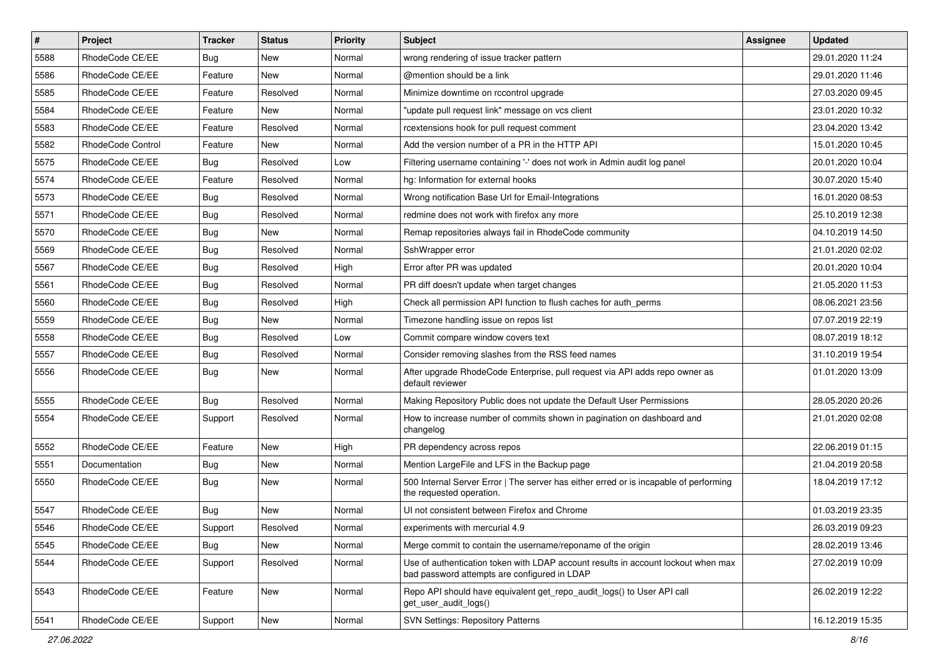| $\pmb{\#}$ | <b>Project</b>    | <b>Tracker</b> | <b>Status</b> | <b>Priority</b> | <b>Subject</b>                                                                                                                    | Assignee | <b>Updated</b>   |
|------------|-------------------|----------------|---------------|-----------------|-----------------------------------------------------------------------------------------------------------------------------------|----------|------------------|
| 5588       | RhodeCode CE/EE   | <b>Bug</b>     | New           | Normal          | wrong rendering of issue tracker pattern                                                                                          |          | 29.01.2020 11:24 |
| 5586       | RhodeCode CE/EE   | Feature        | <b>New</b>    | Normal          | @mention should be a link                                                                                                         |          | 29.01.2020 11:46 |
| 5585       | RhodeCode CE/EE   | Feature        | Resolved      | Normal          | Minimize downtime on rccontrol upgrade                                                                                            |          | 27.03.2020 09:45 |
| 5584       | RhodeCode CE/EE   | Feature        | New           | Normal          | "update pull request link" message on vcs client                                                                                  |          | 23.01.2020 10:32 |
| 5583       | RhodeCode CE/EE   | Feature        | Resolved      | Normal          | rcextensions hook for pull request comment                                                                                        |          | 23.04.2020 13:42 |
| 5582       | RhodeCode Control | Feature        | New           | Normal          | Add the version number of a PR in the HTTP API                                                                                    |          | 15.01.2020 10:45 |
| 5575       | RhodeCode CE/EE   | Bug            | Resolved      | Low             | Filtering username containing '-' does not work in Admin audit log panel                                                          |          | 20.01.2020 10:04 |
| 5574       | RhodeCode CE/EE   | Feature        | Resolved      | Normal          | hg: Information for external hooks                                                                                                |          | 30.07.2020 15:40 |
| 5573       | RhodeCode CE/EE   | Bug            | Resolved      | Normal          | Wrong notification Base Url for Email-Integrations                                                                                |          | 16.01.2020 08:53 |
| 5571       | RhodeCode CE/EE   | Bug            | Resolved      | Normal          | redmine does not work with firefox any more                                                                                       |          | 25.10.2019 12:38 |
| 5570       | RhodeCode CE/EE   | <b>Bug</b>     | <b>New</b>    | Normal          | Remap repositories always fail in RhodeCode community                                                                             |          | 04.10.2019 14:50 |
| 5569       | RhodeCode CE/EE   | Bug            | Resolved      | Normal          | SshWrapper error                                                                                                                  |          | 21.01.2020 02:02 |
| 5567       | RhodeCode CE/EE   | Bug            | Resolved      | High            | Error after PR was updated                                                                                                        |          | 20.01.2020 10:04 |
| 5561       | RhodeCode CE/EE   | Bug            | Resolved      | Normal          | PR diff doesn't update when target changes                                                                                        |          | 21.05.2020 11:53 |
| 5560       | RhodeCode CE/EE   | Bug            | Resolved      | High            | Check all permission API function to flush caches for auth_perms                                                                  |          | 08.06.2021 23:56 |
| 5559       | RhodeCode CE/EE   | <b>Bug</b>     | New           | Normal          | Timezone handling issue on repos list                                                                                             |          | 07.07.2019 22:19 |
| 5558       | RhodeCode CE/EE   | Bug            | Resolved      | Low             | Commit compare window covers text                                                                                                 |          | 08.07.2019 18:12 |
| 5557       | RhodeCode CE/EE   | Bug            | Resolved      | Normal          | Consider removing slashes from the RSS feed names                                                                                 |          | 31.10.2019 19:54 |
| 5556       | RhodeCode CE/EE   | Bug            | New           | Normal          | After upgrade RhodeCode Enterprise, pull request via API adds repo owner as<br>default reviewer                                   |          | 01.01.2020 13:09 |
| 5555       | RhodeCode CE/EE   | Bug            | Resolved      | Normal          | Making Repository Public does not update the Default User Permissions                                                             |          | 28.05.2020 20:26 |
| 5554       | RhodeCode CE/EE   | Support        | Resolved      | Normal          | How to increase number of commits shown in pagination on dashboard and<br>changelog                                               |          | 21.01.2020 02:08 |
| 5552       | RhodeCode CE/EE   | Feature        | New           | High            | PR dependency across repos                                                                                                        |          | 22.06.2019 01:15 |
| 5551       | Documentation     | Bug            | New           | Normal          | Mention LargeFile and LFS in the Backup page                                                                                      |          | 21.04.2019 20:58 |
| 5550       | RhodeCode CE/EE   | Bug            | <b>New</b>    | Normal          | 500 Internal Server Error   The server has either erred or is incapable of performing<br>the requested operation.                 |          | 18.04.2019 17:12 |
| 5547       | RhodeCode CE/EE   | Bug            | New           | Normal          | UI not consistent between Firefox and Chrome                                                                                      |          | 01.03.2019 23:35 |
| 5546       | RhodeCode CE/EE   | Support        | Resolved      | Normal          | experiments with mercurial 4.9                                                                                                    |          | 26.03.2019 09:23 |
| 5545       | RhodeCode CE/EE   | Bug            | New           | Normal          | Merge commit to contain the username/reponame of the origin                                                                       |          | 28.02.2019 13:46 |
| 5544       | RhodeCode CE/EE   | Support        | Resolved      | Normal          | Use of authentication token with LDAP account results in account lockout when max<br>bad password attempts are configured in LDAP |          | 27.02.2019 10:09 |
| 5543       | RhodeCode CE/EE   | Feature        | New           | Normal          | Repo API should have equivalent get_repo_audit_logs() to User API call<br>get_user_audit_logs()                                   |          | 26.02.2019 12:22 |
| 5541       | RhodeCode CE/EE   | Support        | New           | Normal          | <b>SVN Settings: Repository Patterns</b>                                                                                          |          | 16.12.2019 15:35 |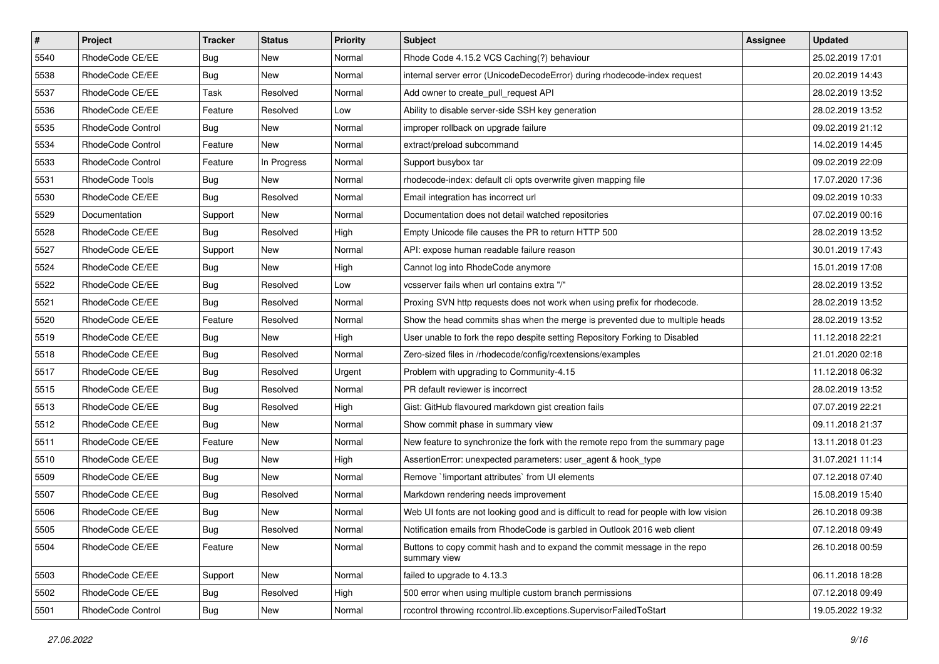| $\pmb{\#}$ | Project           | <b>Tracker</b> | <b>Status</b> | <b>Priority</b> | <b>Subject</b>                                                                           | <b>Assignee</b> | <b>Updated</b>   |
|------------|-------------------|----------------|---------------|-----------------|------------------------------------------------------------------------------------------|-----------------|------------------|
| 5540       | RhodeCode CE/EE   | <b>Bug</b>     | New           | Normal          | Rhode Code 4.15.2 VCS Caching(?) behaviour                                               |                 | 25.02.2019 17:01 |
| 5538       | RhodeCode CE/EE   | Bug            | <b>New</b>    | Normal          | internal server error (UnicodeDecodeError) during rhodecode-index request                |                 | 20.02.2019 14:43 |
| 5537       | RhodeCode CE/EE   | Task           | Resolved      | Normal          | Add owner to create_pull_request API                                                     |                 | 28.02.2019 13:52 |
| 5536       | RhodeCode CE/EE   | Feature        | Resolved      | Low             | Ability to disable server-side SSH key generation                                        |                 | 28.02.2019 13:52 |
| 5535       | RhodeCode Control | Bug            | <b>New</b>    | Normal          | improper rollback on upgrade failure                                                     |                 | 09.02.2019 21:12 |
| 5534       | RhodeCode Control | Feature        | <b>New</b>    | Normal          | extract/preload subcommand                                                               |                 | 14.02.2019 14:45 |
| 5533       | RhodeCode Control | Feature        | In Progress   | Normal          | Support busybox tar                                                                      |                 | 09.02.2019 22:09 |
| 5531       | RhodeCode Tools   | <b>Bug</b>     | New           | Normal          | rhodecode-index: default cli opts overwrite given mapping file                           |                 | 17.07.2020 17:36 |
| 5530       | RhodeCode CE/EE   | Bug            | Resolved      | Normal          | Email integration has incorrect url                                                      |                 | 09.02.2019 10:33 |
| 5529       | Documentation     | Support        | New           | Normal          | Documentation does not detail watched repositories                                       |                 | 07.02.2019 00:16 |
| 5528       | RhodeCode CE/EE   | Bug            | Resolved      | High            | Empty Unicode file causes the PR to return HTTP 500                                      |                 | 28.02.2019 13:52 |
| 5527       | RhodeCode CE/EE   | Support        | New           | Normal          | API: expose human readable failure reason                                                |                 | 30.01.2019 17:43 |
| 5524       | RhodeCode CE/EE   | Bug            | New           | High            | Cannot log into RhodeCode anymore                                                        |                 | 15.01.2019 17:08 |
| 5522       | RhodeCode CE/EE   | Bug            | Resolved      | Low             | vcsserver fails when url contains extra "/"                                              |                 | 28.02.2019 13:52 |
| 5521       | RhodeCode CE/EE   | Bug            | Resolved      | Normal          | Proxing SVN http requests does not work when using prefix for rhodecode.                 |                 | 28.02.2019 13:52 |
| 5520       | RhodeCode CE/EE   | Feature        | Resolved      | Normal          | Show the head commits shas when the merge is prevented due to multiple heads             |                 | 28.02.2019 13:52 |
| 5519       | RhodeCode CE/EE   | Bug            | New           | High            | User unable to fork the repo despite setting Repository Forking to Disabled              |                 | 11.12.2018 22:21 |
| 5518       | RhodeCode CE/EE   | Bug            | Resolved      | Normal          | Zero-sized files in /rhodecode/config/rcextensions/examples                              |                 | 21.01.2020 02:18 |
| 5517       | RhodeCode CE/EE   | <b>Bug</b>     | Resolved      | Urgent          | Problem with upgrading to Community-4.15                                                 |                 | 11.12.2018 06:32 |
| 5515       | RhodeCode CE/EE   | Bug            | Resolved      | Normal          | PR default reviewer is incorrect                                                         |                 | 28.02.2019 13:52 |
| 5513       | RhodeCode CE/EE   | Bug            | Resolved      | High            | Gist: GitHub flavoured markdown gist creation fails                                      |                 | 07.07.2019 22:21 |
| 5512       | RhodeCode CE/EE   | Bug            | New           | Normal          | Show commit phase in summary view                                                        |                 | 09.11.2018 21:37 |
| 5511       | RhodeCode CE/EE   | Feature        | <b>New</b>    | Normal          | New feature to synchronize the fork with the remote repo from the summary page           |                 | 13.11.2018 01:23 |
| 5510       | RhodeCode CE/EE   | Bug            | New           | High            | AssertionError: unexpected parameters: user_agent & hook_type                            |                 | 31.07.2021 11:14 |
| 5509       | RhodeCode CE/EE   | Bug            | New           | Normal          | Remove `!important attributes` from UI elements                                          |                 | 07.12.2018 07:40 |
| 5507       | RhodeCode CE/EE   | Bug            | Resolved      | Normal          | Markdown rendering needs improvement                                                     |                 | 15.08.2019 15:40 |
| 5506       | RhodeCode CE/EE   | <b>Bug</b>     | New           | Normal          | Web UI fonts are not looking good and is difficult to read for people with low vision    |                 | 26.10.2018 09:38 |
| 5505       | RhodeCode CE/EE   | <b>Bug</b>     | Resolved      | Normal          | Notification emails from RhodeCode is garbled in Outlook 2016 web client                 |                 | 07.12.2018 09:49 |
| 5504       | RhodeCode CE/EE   | Feature        | New           | Normal          | Buttons to copy commit hash and to expand the commit message in the repo<br>summary view |                 | 26.10.2018 00:59 |
| 5503       | RhodeCode CE/EE   | Support        | New           | Normal          | failed to upgrade to 4.13.3                                                              |                 | 06.11.2018 18:28 |
| 5502       | RhodeCode CE/EE   | Bug            | Resolved      | High            | 500 error when using multiple custom branch permissions                                  |                 | 07.12.2018 09:49 |
| 5501       | RhodeCode Control | <b>Bug</b>     | New           | Normal          | rccontrol throwing rccontrol.lib.exceptions.SupervisorFailedToStart                      |                 | 19.05.2022 19:32 |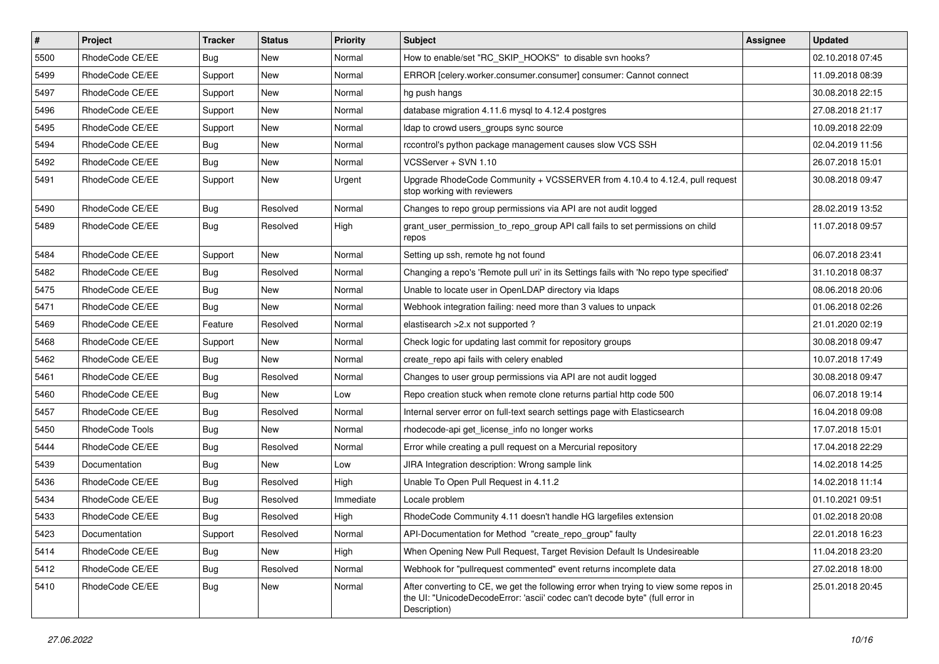| $\vert$ # | Project         | <b>Tracker</b> | <b>Status</b> | <b>Priority</b> | <b>Subject</b>                                                                                                                                                                       | <b>Assignee</b> | <b>Updated</b>   |
|-----------|-----------------|----------------|---------------|-----------------|--------------------------------------------------------------------------------------------------------------------------------------------------------------------------------------|-----------------|------------------|
| 5500      | RhodeCode CE/EE | Bug            | New           | Normal          | How to enable/set "RC_SKIP_HOOKS" to disable svn hooks?                                                                                                                              |                 | 02.10.2018 07:45 |
| 5499      | RhodeCode CE/EE | Support        | New           | Normal          | ERROR [celery.worker.consumer.consumer] consumer: Cannot connect                                                                                                                     |                 | 11.09.2018 08:39 |
| 5497      | RhodeCode CE/EE | Support        | New           | Normal          | hg push hangs                                                                                                                                                                        |                 | 30.08.2018 22:15 |
| 5496      | RhodeCode CE/EE | Support        | New           | Normal          | database migration 4.11.6 mysql to 4.12.4 postgres                                                                                                                                   |                 | 27.08.2018 21:17 |
| 5495      | RhodeCode CE/EE | Support        | <b>New</b>    | Normal          | Idap to crowd users_groups sync source                                                                                                                                               |                 | 10.09.2018 22:09 |
| 5494      | RhodeCode CE/EE | Bug            | New           | Normal          | rccontrol's python package management causes slow VCS SSH                                                                                                                            |                 | 02.04.2019 11:56 |
| 5492      | RhodeCode CE/EE | <b>Bug</b>     | New           | Normal          | VCSServer + SVN 1.10                                                                                                                                                                 |                 | 26.07.2018 15:01 |
| 5491      | RhodeCode CE/EE | Support        | New           | Urgent          | Upgrade RhodeCode Community + VCSSERVER from 4.10.4 to 4.12.4, pull request<br>stop working with reviewers                                                                           |                 | 30.08.2018 09:47 |
| 5490      | RhodeCode CE/EE | Bug            | Resolved      | Normal          | Changes to repo group permissions via API are not audit logged                                                                                                                       |                 | 28.02.2019 13:52 |
| 5489      | RhodeCode CE/EE | Bug            | Resolved      | High            | grant_user_permission_to_repo_group API call fails to set permissions on child<br>repos                                                                                              |                 | 11.07.2018 09:57 |
| 5484      | RhodeCode CE/EE | Support        | <b>New</b>    | Normal          | Setting up ssh, remote hg not found                                                                                                                                                  |                 | 06.07.2018 23:41 |
| 5482      | RhodeCode CE/EE | Bug            | Resolved      | Normal          | Changing a repo's 'Remote pull uri' in its Settings fails with 'No repo type specified'                                                                                              |                 | 31.10.2018 08:37 |
| 5475      | RhodeCode CE/EE | <b>Bug</b>     | <b>New</b>    | Normal          | Unable to locate user in OpenLDAP directory via Idaps                                                                                                                                |                 | 08.06.2018 20:06 |
| 5471      | RhodeCode CE/EE | Bug            | New           | Normal          | Webhook integration failing: need more than 3 values to unpack                                                                                                                       |                 | 01.06.2018 02:26 |
| 5469      | RhodeCode CE/EE | Feature        | Resolved      | Normal          | elastisearch > 2.x not supported?                                                                                                                                                    |                 | 21.01.2020 02:19 |
| 5468      | RhodeCode CE/EE | Support        | <b>New</b>    | Normal          | Check logic for updating last commit for repository groups                                                                                                                           |                 | 30.08.2018 09:47 |
| 5462      | RhodeCode CE/EE | Bug            | New           | Normal          | create_repo api fails with celery enabled                                                                                                                                            |                 | 10.07.2018 17:49 |
| 5461      | RhodeCode CE/EE | <b>Bug</b>     | Resolved      | Normal          | Changes to user group permissions via API are not audit logged                                                                                                                       |                 | 30.08.2018 09:47 |
| 5460      | RhodeCode CE/EE | Bug            | New           | Low             | Repo creation stuck when remote clone returns partial http code 500                                                                                                                  |                 | 06.07.2018 19:14 |
| 5457      | RhodeCode CE/EE | <b>Bug</b>     | Resolved      | Normal          | Internal server error on full-text search settings page with Elasticsearch                                                                                                           |                 | 16.04.2018 09:08 |
| 5450      | RhodeCode Tools | <b>Bug</b>     | New           | Normal          | rhodecode-api get_license_info no longer works                                                                                                                                       |                 | 17.07.2018 15:01 |
| 5444      | RhodeCode CE/EE | Bug            | Resolved      | Normal          | Error while creating a pull request on a Mercurial repository                                                                                                                        |                 | 17.04.2018 22:29 |
| 5439      | Documentation   | <b>Bug</b>     | New           | Low             | JIRA Integration description: Wrong sample link                                                                                                                                      |                 | 14.02.2018 14:25 |
| 5436      | RhodeCode CE/EE | Bug            | Resolved      | High            | Unable To Open Pull Request in 4.11.2                                                                                                                                                |                 | 14.02.2018 11:14 |
| 5434      | RhodeCode CE/EE | <b>Bug</b>     | Resolved      | Immediate       | Locale problem                                                                                                                                                                       |                 | 01.10.2021 09:51 |
| 5433      | RhodeCode CE/EE | Bug            | Resolved      | High            | RhodeCode Community 4.11 doesn't handle HG largefiles extension                                                                                                                      |                 | 01.02.2018 20:08 |
| 5423      | Documentation   | Support        | Resolved      | Normal          | API-Documentation for Method "create repo group" faulty                                                                                                                              |                 | 22.01.2018 16:23 |
| 5414      | RhodeCode CE/EE | Bug            | New           | High            | When Opening New Pull Request, Target Revision Default Is Undesireable                                                                                                               |                 | 11.04.2018 23:20 |
| 5412      | RhodeCode CE/EE | Bug            | Resolved      | Normal          | Webhook for "pullrequest commented" event returns incomplete data                                                                                                                    |                 | 27.02.2018 18:00 |
| 5410      | RhodeCode CE/EE | Bug            | New           | Normal          | After converting to CE, we get the following error when trying to view some repos in<br>the UI: "UnicodeDecodeError: 'ascii' codec can't decode byte" (full error in<br>Description) |                 | 25.01.2018 20:45 |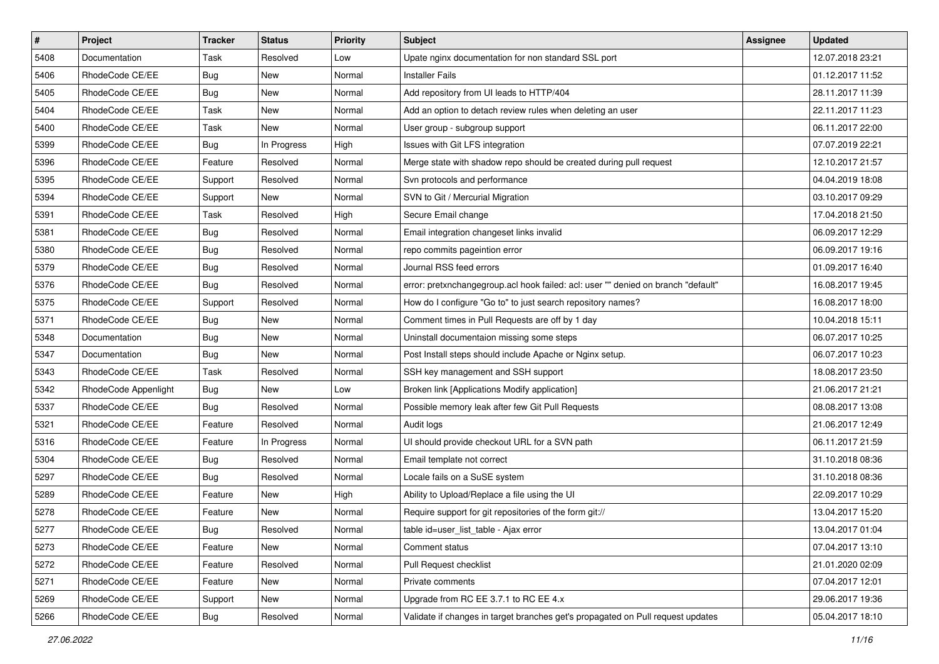| $\vert$ # | Project              | Tracker    | <b>Status</b> | <b>Priority</b> | <b>Subject</b>                                                                    | <b>Assignee</b> | <b>Updated</b>   |
|-----------|----------------------|------------|---------------|-----------------|-----------------------------------------------------------------------------------|-----------------|------------------|
| 5408      | Documentation        | Task       | Resolved      | Low             | Upate nginx documentation for non standard SSL port                               |                 | 12.07.2018 23:21 |
| 5406      | RhodeCode CE/EE      | <b>Bug</b> | New           | Normal          | <b>Installer Fails</b>                                                            |                 | 01.12.2017 11:52 |
| 5405      | RhodeCode CE/EE      | Bug        | New           | Normal          | Add repository from UI leads to HTTP/404                                          |                 | 28.11.2017 11:39 |
| 5404      | RhodeCode CE/EE      | Task       | New           | Normal          | Add an option to detach review rules when deleting an user                        |                 | 22.11.2017 11:23 |
| 5400      | RhodeCode CE/EE      | Task       | New           | Normal          | User group - subgroup support                                                     |                 | 06.11.2017 22:00 |
| 5399      | RhodeCode CE/EE      | Bug        | In Progress   | High            | Issues with Git LFS integration                                                   |                 | 07.07.2019 22:21 |
| 5396      | RhodeCode CE/EE      | Feature    | Resolved      | Normal          | Merge state with shadow repo should be created during pull request                |                 | 12.10.2017 21:57 |
| 5395      | RhodeCode CE/EE      | Support    | Resolved      | Normal          | Svn protocols and performance                                                     |                 | 04.04.2019 18:08 |
| 5394      | RhodeCode CE/EE      | Support    | New           | Normal          | SVN to Git / Mercurial Migration                                                  |                 | 03.10.2017 09:29 |
| 5391      | RhodeCode CE/EE      | Task       | Resolved      | High            | Secure Email change                                                               |                 | 17.04.2018 21:50 |
| 5381      | RhodeCode CE/EE      | <b>Bug</b> | Resolved      | Normal          | Email integration changeset links invalid                                         |                 | 06.09.2017 12:29 |
| 5380      | RhodeCode CE/EE      | <b>Bug</b> | Resolved      | Normal          | repo commits pageintion error                                                     |                 | 06.09.2017 19:16 |
| 5379      | RhodeCode CE/EE      | Bug        | Resolved      | Normal          | Journal RSS feed errors                                                           |                 | 01.09.2017 16:40 |
| 5376      | RhodeCode CE/EE      | <b>Bug</b> | Resolved      | Normal          | error: pretxnchangegroup.acl hook failed: acl: user "" denied on branch "default" |                 | 16.08.2017 19:45 |
| 5375      | RhodeCode CE/EE      | Support    | Resolved      | Normal          | How do I configure "Go to" to just search repository names?                       |                 | 16.08.2017 18:00 |
| 5371      | RhodeCode CE/EE      | Bug        | New           | Normal          | Comment times in Pull Requests are off by 1 day                                   |                 | 10.04.2018 15:11 |
| 5348      | Documentation        | <b>Bug</b> | New           | Normal          | Uninstall documentaion missing some steps                                         |                 | 06.07.2017 10:25 |
| 5347      | Documentation        | <b>Bug</b> | <b>New</b>    | Normal          | Post Install steps should include Apache or Nginx setup.                          |                 | 06.07.2017 10:23 |
| 5343      | RhodeCode CE/EE      | Task       | Resolved      | Normal          | SSH key management and SSH support                                                |                 | 18.08.2017 23:50 |
| 5342      | RhodeCode Appenlight | Bug        | New           | Low             | Broken link [Applications Modify application]                                     |                 | 21.06.2017 21:21 |
| 5337      | RhodeCode CE/EE      | Bug        | Resolved      | Normal          | Possible memory leak after few Git Pull Requests                                  |                 | 08.08.2017 13:08 |
| 5321      | RhodeCode CE/EE      | Feature    | Resolved      | Normal          | Audit logs                                                                        |                 | 21.06.2017 12:49 |
| 5316      | RhodeCode CE/EE      | Feature    | In Progress   | Normal          | UI should provide checkout URL for a SVN path                                     |                 | 06.11.2017 21:59 |
| 5304      | RhodeCode CE/EE      | <b>Bug</b> | Resolved      | Normal          | Email template not correct                                                        |                 | 31.10.2018 08:36 |
| 5297      | RhodeCode CE/EE      | Bug        | Resolved      | Normal          | Locale fails on a SuSE system                                                     |                 | 31.10.2018 08:36 |
| 5289      | RhodeCode CE/EE      | Feature    | New           | High            | Ability to Upload/Replace a file using the UI                                     |                 | 22.09.2017 10:29 |
| 5278      | RhodeCode CE/EE      | Feature    | New           | Normal          | Require support for git repositories of the form git://                           |                 | 13.04.2017 15:20 |
| 5277      | RhodeCode CE/EE      | Bug        | Resolved      | Normal          | table id=user_list_table - Ajax error                                             |                 | 13.04.2017 01:04 |
| 5273      | RhodeCode CE/EE      | Feature    | New           | Normal          | Comment status                                                                    |                 | 07.04.2017 13:10 |
| 5272      | RhodeCode CE/EE      | Feature    | Resolved      | Normal          | Pull Request checklist                                                            |                 | 21.01.2020 02:09 |
| 5271      | RhodeCode CE/EE      | Feature    | New           | Normal          | Private comments                                                                  |                 | 07.04.2017 12:01 |
| 5269      | RhodeCode CE/EE      | Support    | New           | Normal          | Upgrade from RC EE 3.7.1 to RC EE 4.x                                             |                 | 29.06.2017 19:36 |
| 5266      | RhodeCode CE/EE      | <b>Bug</b> | Resolved      | Normal          | Validate if changes in target branches get's propagated on Pull request updates   |                 | 05.04.2017 18:10 |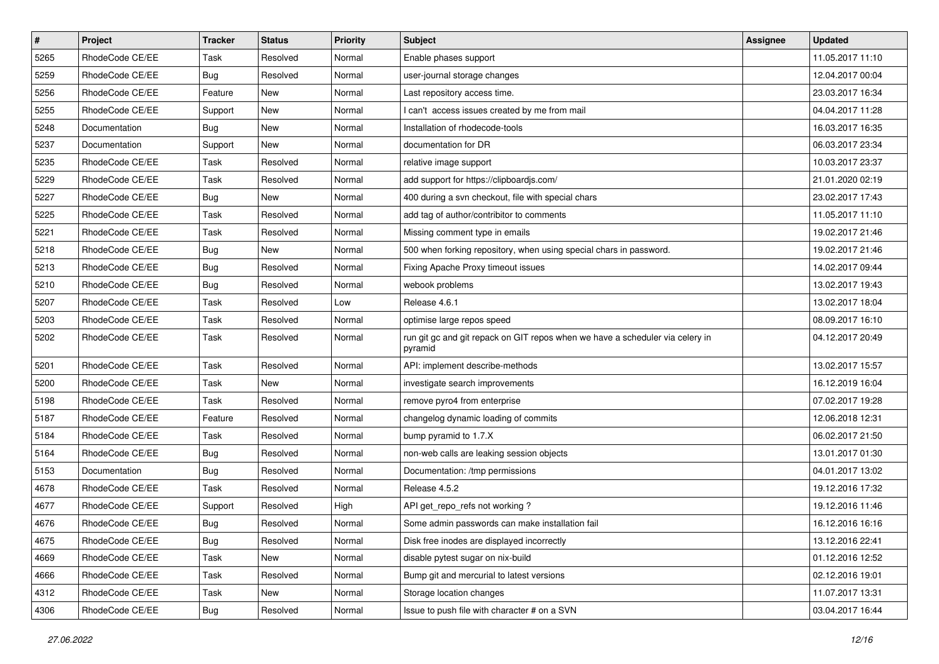| $\pmb{\#}$ | Project         | <b>Tracker</b> | <b>Status</b> | <b>Priority</b> | Subject                                                                                  | Assignee | <b>Updated</b>   |
|------------|-----------------|----------------|---------------|-----------------|------------------------------------------------------------------------------------------|----------|------------------|
| 5265       | RhodeCode CE/EE | Task           | Resolved      | Normal          | Enable phases support                                                                    |          | 11.05.2017 11:10 |
| 5259       | RhodeCode CE/EE | Bug            | Resolved      | Normal          | user-journal storage changes                                                             |          | 12.04.2017 00:04 |
| 5256       | RhodeCode CE/EE | Feature        | New           | Normal          | Last repository access time.                                                             |          | 23.03.2017 16:34 |
| 5255       | RhodeCode CE/EE | Support        | New           | Normal          | I can't access issues created by me from mail                                            |          | 04.04.2017 11:28 |
| 5248       | Documentation   | Bug            | <b>New</b>    | Normal          | Installation of rhodecode-tools                                                          |          | 16.03.2017 16:35 |
| 5237       | Documentation   | Support        | <b>New</b>    | Normal          | documentation for DR                                                                     |          | 06.03.2017 23:34 |
| 5235       | RhodeCode CE/EE | Task           | Resolved      | Normal          | relative image support                                                                   |          | 10.03.2017 23:37 |
| 5229       | RhodeCode CE/EE | Task           | Resolved      | Normal          | add support for https://clipboardjs.com/                                                 |          | 21.01.2020 02:19 |
| 5227       | RhodeCode CE/EE | Bug            | New           | Normal          | 400 during a svn checkout, file with special chars                                       |          | 23.02.2017 17:43 |
| 5225       | RhodeCode CE/EE | Task           | Resolved      | Normal          | add tag of author/contribitor to comments                                                |          | 11.05.2017 11:10 |
| 5221       | RhodeCode CE/EE | Task           | Resolved      | Normal          | Missing comment type in emails                                                           |          | 19.02.2017 21:46 |
| 5218       | RhodeCode CE/EE | Bug            | <b>New</b>    | Normal          | 500 when forking repository, when using special chars in password.                       |          | 19.02.2017 21:46 |
| 5213       | RhodeCode CE/EE | Bug            | Resolved      | Normal          | Fixing Apache Proxy timeout issues                                                       |          | 14.02.2017 09:44 |
| 5210       | RhodeCode CE/EE | <b>Bug</b>     | Resolved      | Normal          | webook problems                                                                          |          | 13.02.2017 19:43 |
| 5207       | RhodeCode CE/EE | Task           | Resolved      | Low             | Release 4.6.1                                                                            |          | 13.02.2017 18:04 |
| 5203       | RhodeCode CE/EE | Task           | Resolved      | Normal          | optimise large repos speed                                                               |          | 08.09.2017 16:10 |
| 5202       | RhodeCode CE/EE | Task           | Resolved      | Normal          | run git gc and git repack on GIT repos when we have a scheduler via celery in<br>pyramid |          | 04.12.2017 20:49 |
| 5201       | RhodeCode CE/EE | Task           | Resolved      | Normal          | API: implement describe-methods                                                          |          | 13.02.2017 15:57 |
| 5200       | RhodeCode CE/EE | Task           | <b>New</b>    | Normal          | investigate search improvements                                                          |          | 16.12.2019 16:04 |
| 5198       | RhodeCode CE/EE | Task           | Resolved      | Normal          | remove pyro4 from enterprise                                                             |          | 07.02.2017 19:28 |
| 5187       | RhodeCode CE/EE | Feature        | Resolved      | Normal          | changelog dynamic loading of commits                                                     |          | 12.06.2018 12:31 |
| 5184       | RhodeCode CE/EE | Task           | Resolved      | Normal          | bump pyramid to 1.7.X                                                                    |          | 06.02.2017 21:50 |
| 5164       | RhodeCode CE/EE | Bug            | Resolved      | Normal          | non-web calls are leaking session objects                                                |          | 13.01.2017 01:30 |
| 5153       | Documentation   | Bug            | Resolved      | Normal          | Documentation: /tmp permissions                                                          |          | 04.01.2017 13:02 |
| 4678       | RhodeCode CE/EE | Task           | Resolved      | Normal          | Release 4.5.2                                                                            |          | 19.12.2016 17:32 |
| 4677       | RhodeCode CE/EE | Support        | Resolved      | High            | API get_repo_refs not working?                                                           |          | 19.12.2016 11:46 |
| 4676       | RhodeCode CE/EE | <b>Bug</b>     | Resolved      | Normal          | Some admin passwords can make installation fail                                          |          | 16.12.2016 16:16 |
| 4675       | RhodeCode CE/EE | <b>Bug</b>     | Resolved      | Normal          | Disk free inodes are displayed incorrectly                                               |          | 13.12.2016 22:41 |
| 4669       | RhodeCode CE/EE | Task           | New           | Normal          | disable pytest sugar on nix-build                                                        |          | 01.12.2016 12:52 |
| 4666       | RhodeCode CE/EE | Task           | Resolved      | Normal          | Bump git and mercurial to latest versions                                                |          | 02.12.2016 19:01 |
| 4312       | RhodeCode CE/EE | Task           | New           | Normal          | Storage location changes                                                                 |          | 11.07.2017 13:31 |
| 4306       | RhodeCode CE/EE | <b>Bug</b>     | Resolved      | Normal          | Issue to push file with character # on a SVN                                             |          | 03.04.2017 16:44 |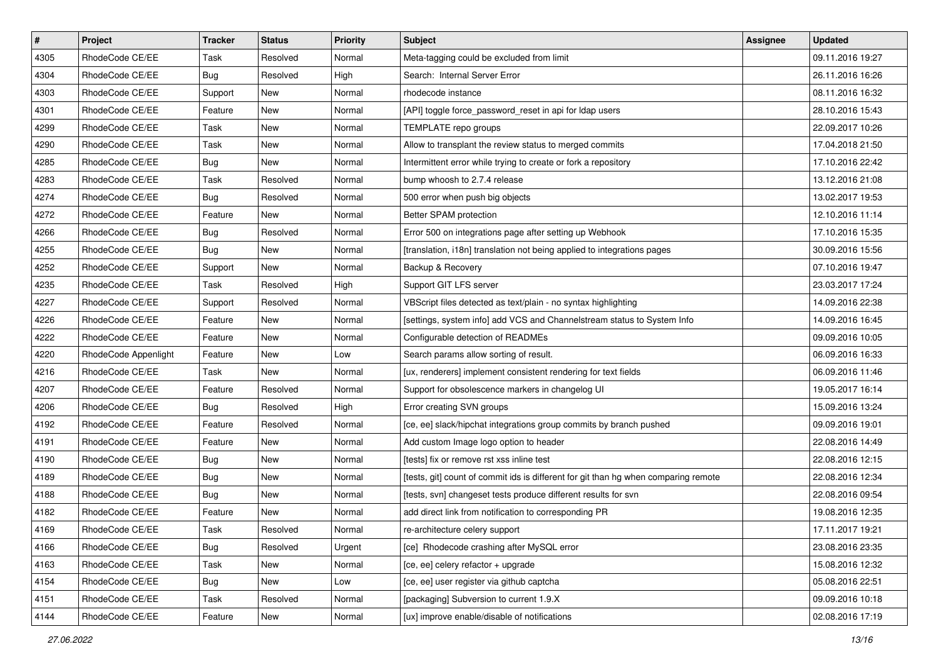| $\pmb{\#}$ | Project              | <b>Tracker</b> | <b>Status</b> | Priority | <b>Subject</b>                                                                      | Assignee | <b>Updated</b>   |
|------------|----------------------|----------------|---------------|----------|-------------------------------------------------------------------------------------|----------|------------------|
| 4305       | RhodeCode CE/EE      | Task           | Resolved      | Normal   | Meta-tagging could be excluded from limit                                           |          | 09.11.2016 19:27 |
| 4304       | RhodeCode CE/EE      | Bug            | Resolved      | High     | Search: Internal Server Error                                                       |          | 26.11.2016 16:26 |
| 4303       | RhodeCode CE/EE      | Support        | New           | Normal   | rhodecode instance                                                                  |          | 08.11.2016 16:32 |
| 4301       | RhodeCode CE/EE      | Feature        | New           | Normal   | [API] toggle force_password_reset in api for Idap users                             |          | 28.10.2016 15:43 |
| 4299       | RhodeCode CE/EE      | Task           | <b>New</b>    | Normal   | TEMPLATE repo groups                                                                |          | 22.09.2017 10:26 |
| 4290       | RhodeCode CE/EE      | Task           | New           | Normal   | Allow to transplant the review status to merged commits                             |          | 17.04.2018 21:50 |
| 4285       | RhodeCode CE/EE      | Bug            | New           | Normal   | Intermittent error while trying to create or fork a repository                      |          | 17.10.2016 22:42 |
| 4283       | RhodeCode CE/EE      | Task           | Resolved      | Normal   | bump whoosh to 2.7.4 release                                                        |          | 13.12.2016 21:08 |
| 4274       | RhodeCode CE/EE      | <b>Bug</b>     | Resolved      | Normal   | 500 error when push big objects                                                     |          | 13.02.2017 19:53 |
| 4272       | RhodeCode CE/EE      | Feature        | <b>New</b>    | Normal   | Better SPAM protection                                                              |          | 12.10.2016 11:14 |
| 4266       | RhodeCode CE/EE      | Bug            | Resolved      | Normal   | Error 500 on integrations page after setting up Webhook                             |          | 17.10.2016 15:35 |
| 4255       | RhodeCode CE/EE      | Bug            | New           | Normal   | [translation, i18n] translation not being applied to integrations pages             |          | 30.09.2016 15:56 |
| 4252       | RhodeCode CE/EE      | Support        | <b>New</b>    | Normal   | Backup & Recovery                                                                   |          | 07.10.2016 19:47 |
| 4235       | RhodeCode CE/EE      | Task           | Resolved      | High     | Support GIT LFS server                                                              |          | 23.03.2017 17:24 |
| 4227       | RhodeCode CE/EE      | Support        | Resolved      | Normal   | VBScript files detected as text/plain - no syntax highlighting                      |          | 14.09.2016 22:38 |
| 4226       | RhodeCode CE/EE      | Feature        | New           | Normal   | [settings, system info] add VCS and Channelstream status to System Info             |          | 14.09.2016 16:45 |
| 4222       | RhodeCode CE/EE      | Feature        | New           | Normal   | Configurable detection of READMEs                                                   |          | 09.09.2016 10:05 |
| 4220       | RhodeCode Appenlight | Feature        | <b>New</b>    | Low      | Search params allow sorting of result.                                              |          | 06.09.2016 16:33 |
| 4216       | RhodeCode CE/EE      | Task           | New           | Normal   | [ux, renderers] implement consistent rendering for text fields                      |          | 06.09.2016 11:46 |
| 4207       | RhodeCode CE/EE      | Feature        | Resolved      | Normal   | Support for obsolescence markers in changelog UI                                    |          | 19.05.2017 16:14 |
| 4206       | RhodeCode CE/EE      | <b>Bug</b>     | Resolved      | High     | Error creating SVN groups                                                           |          | 15.09.2016 13:24 |
| 4192       | RhodeCode CE/EE      | Feature        | Resolved      | Normal   | [ce, ee] slack/hipchat integrations group commits by branch pushed                  |          | 09.09.2016 19:01 |
| 4191       | RhodeCode CE/EE      | Feature        | <b>New</b>    | Normal   | Add custom Image logo option to header                                              |          | 22.08.2016 14:49 |
| 4190       | RhodeCode CE/EE      | Bug            | New           | Normal   | [tests] fix or remove rst xss inline test                                           |          | 22.08.2016 12:15 |
| 4189       | RhodeCode CE/EE      | Bug            | New           | Normal   | [tests, git] count of commit ids is different for git than hg when comparing remote |          | 22.08.2016 12:34 |
| 4188       | RhodeCode CE/EE      | Bug            | <b>New</b>    | Normal   | [tests, svn] changeset tests produce different results for svn                      |          | 22.08.2016 09:54 |
| 4182       | RhodeCode CE/EE      | Feature        | New           | Normal   | add direct link from notification to corresponding PR                               |          | 19.08.2016 12:35 |
| 4169       | RhodeCode CE/EE      | Task           | Resolved      | Normal   | re-architecture celery support                                                      |          | 17.11.2017 19:21 |
| 4166       | RhodeCode CE/EE      | Bug            | Resolved      | Urgent   | [ce] Rhodecode crashing after MySQL error                                           |          | 23.08.2016 23:35 |
| 4163       | RhodeCode CE/EE      | Task           | New           | Normal   | [ce, ee] celery refactor + upgrade                                                  |          | 15.08.2016 12:32 |
| 4154       | RhodeCode CE/EE      | Bug            | New           | Low      | [ce, ee] user register via github captcha                                           |          | 05.08.2016 22:51 |
| 4151       | RhodeCode CE/EE      | Task           | Resolved      | Normal   | [packaging] Subversion to current 1.9.X                                             |          | 09.09.2016 10:18 |
| 4144       | RhodeCode CE/EE      | Feature        | New           | Normal   | [ux] improve enable/disable of notifications                                        |          | 02.08.2016 17:19 |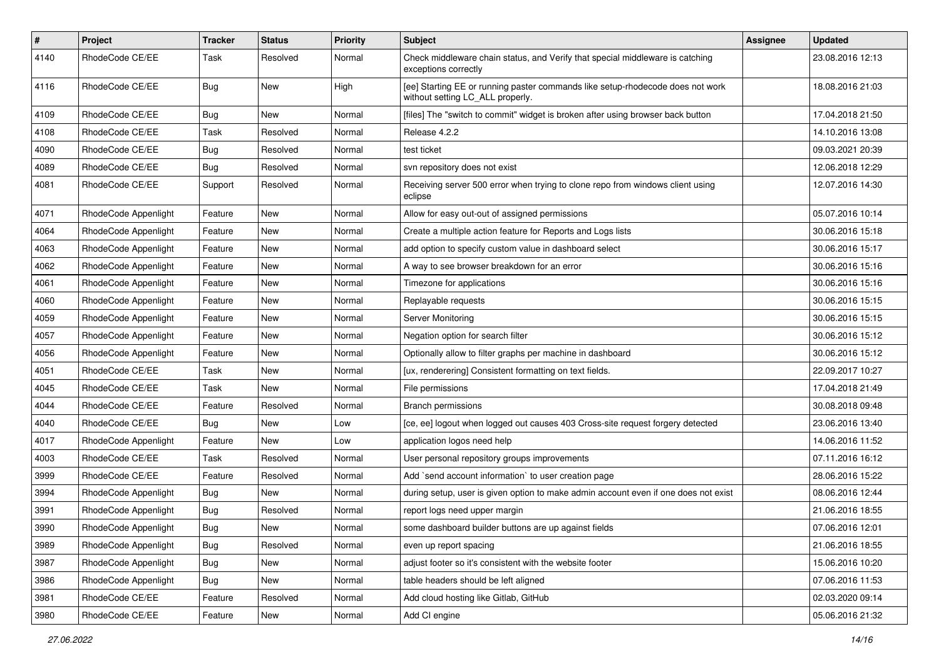| $\vert$ # | <b>Project</b>       | <b>Tracker</b> | <b>Status</b> | <b>Priority</b> | <b>Subject</b>                                                                                                     | Assignee | <b>Updated</b>   |
|-----------|----------------------|----------------|---------------|-----------------|--------------------------------------------------------------------------------------------------------------------|----------|------------------|
| 4140      | RhodeCode CE/EE      | Task           | Resolved      | Normal          | Check middleware chain status, and Verify that special middleware is catching<br>exceptions correctly              |          | 23.08.2016 12:13 |
| 4116      | RhodeCode CE/EE      | Bug            | New           | High            | [ee] Starting EE or running paster commands like setup-rhodecode does not work<br>without setting LC_ALL properly. |          | 18.08.2016 21:03 |
| 4109      | RhodeCode CE/EE      | Bug            | <b>New</b>    | Normal          | [files] The "switch to commit" widget is broken after using browser back button                                    |          | 17.04.2018 21:50 |
| 4108      | RhodeCode CE/EE      | Task           | Resolved      | Normal          | Release 4.2.2                                                                                                      |          | 14.10.2016 13:08 |
| 4090      | RhodeCode CE/EE      | <b>Bug</b>     | Resolved      | Normal          | test ticket                                                                                                        |          | 09.03.2021 20:39 |
| 4089      | RhodeCode CE/EE      | Bug            | Resolved      | Normal          | svn repository does not exist                                                                                      |          | 12.06.2018 12:29 |
| 4081      | RhodeCode CE/EE      | Support        | Resolved      | Normal          | Receiving server 500 error when trying to clone repo from windows client using<br>eclipse                          |          | 12.07.2016 14:30 |
| 4071      | RhodeCode Appenlight | Feature        | New           | Normal          | Allow for easy out-out of assigned permissions                                                                     |          | 05.07.2016 10:14 |
| 4064      | RhodeCode Appenlight | Feature        | New           | Normal          | Create a multiple action feature for Reports and Logs lists                                                        |          | 30.06.2016 15:18 |
| 4063      | RhodeCode Appenlight | Feature        | <b>New</b>    | Normal          | add option to specify custom value in dashboard select                                                             |          | 30.06.2016 15:17 |
| 4062      | RhodeCode Appenlight | Feature        | New           | Normal          | A way to see browser breakdown for an error                                                                        |          | 30.06.2016 15:16 |
| 4061      | RhodeCode Appenlight | Feature        | New           | Normal          | Timezone for applications                                                                                          |          | 30.06.2016 15:16 |
| 4060      | RhodeCode Appenlight | Feature        | New           | Normal          | Replayable requests                                                                                                |          | 30.06.2016 15:15 |
| 4059      | RhodeCode Appenlight | Feature        | New           | Normal          | Server Monitoring                                                                                                  |          | 30.06.2016 15:15 |
| 4057      | RhodeCode Appenlight | Feature        | <b>New</b>    | Normal          | Negation option for search filter                                                                                  |          | 30.06.2016 15:12 |
| 4056      | RhodeCode Appenlight | Feature        | New           | Normal          | Optionally allow to filter graphs per machine in dashboard                                                         |          | 30.06.2016 15:12 |
| 4051      | RhodeCode CE/EE      | Task           | New           | Normal          | [ux, renderering] Consistent formatting on text fields.                                                            |          | 22.09.2017 10:27 |
| 4045      | RhodeCode CE/EE      | Task           | New           | Normal          | File permissions                                                                                                   |          | 17.04.2018 21:49 |
| 4044      | RhodeCode CE/EE      | Feature        | Resolved      | Normal          | <b>Branch permissions</b>                                                                                          |          | 30.08.2018 09:48 |
| 4040      | RhodeCode CE/EE      | Bug            | <b>New</b>    | Low             | [ce, ee] logout when logged out causes 403 Cross-site request forgery detected                                     |          | 23.06.2016 13:40 |
| 4017      | RhodeCode Appenlight | Feature        | New           | Low             | application logos need help                                                                                        |          | 14.06.2016 11:52 |
| 4003      | RhodeCode CE/EE      | Task           | Resolved      | Normal          | User personal repository groups improvements                                                                       |          | 07.11.2016 16:12 |
| 3999      | RhodeCode CE/EE      | Feature        | Resolved      | Normal          | Add `send account information` to user creation page                                                               |          | 28.06.2016 15:22 |
| 3994      | RhodeCode Appenlight | <b>Bug</b>     | New           | Normal          | during setup, user is given option to make admin account even if one does not exist                                |          | 08.06.2016 12:44 |
| 3991      | RhodeCode Appenlight | <b>Bug</b>     | Resolved      | Normal          | report logs need upper margin                                                                                      |          | 21.06.2016 18:55 |
| 3990      | RhodeCode Appenlight | Bug            | New           | Normal          | some dashboard builder buttons are up against fields                                                               |          | 07.06.2016 12:01 |
| 3989      | RhodeCode Appenlight | Bug            | Resolved      | Normal          | even up report spacing                                                                                             |          | 21.06.2016 18:55 |
| 3987      | RhodeCode Appenlight | <b>Bug</b>     | New           | Normal          | adjust footer so it's consistent with the website footer                                                           |          | 15.06.2016 10:20 |
| 3986      | RhodeCode Appenlight | Bug            | New           | Normal          | table headers should be left aligned                                                                               |          | 07.06.2016 11:53 |
| 3981      | RhodeCode CE/EE      | Feature        | Resolved      | Normal          | Add cloud hosting like Gitlab, GitHub                                                                              |          | 02.03.2020 09:14 |
| 3980      | RhodeCode CE/EE      | Feature        | New           | Normal          | Add CI engine                                                                                                      |          | 05.06.2016 21:32 |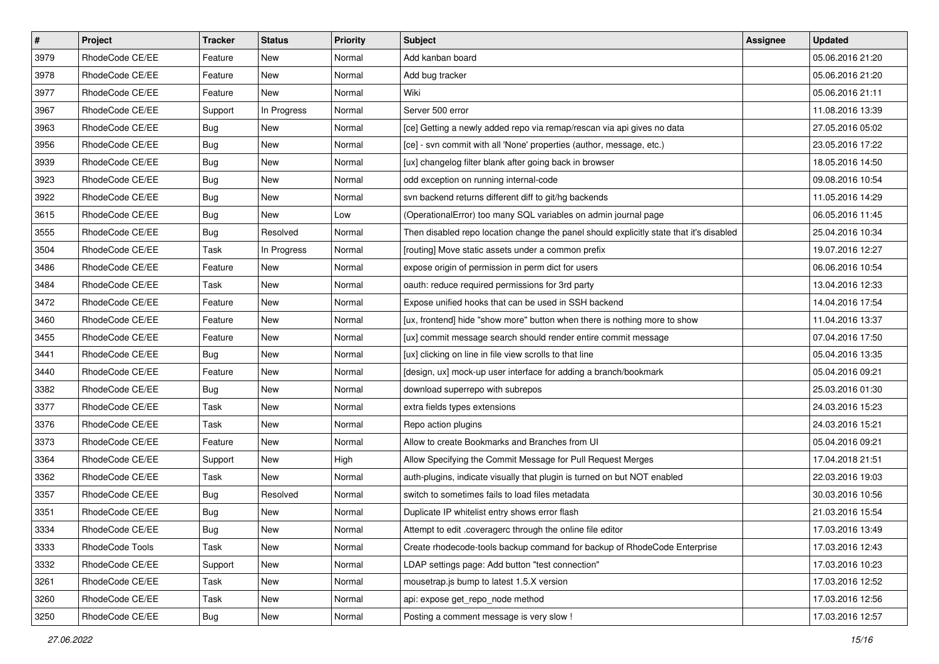| $\pmb{\#}$ | Project         | <b>Tracker</b> | <b>Status</b> | Priority | <b>Subject</b>                                                                          | Assignee | <b>Updated</b>   |
|------------|-----------------|----------------|---------------|----------|-----------------------------------------------------------------------------------------|----------|------------------|
| 3979       | RhodeCode CE/EE | Feature        | New           | Normal   | Add kanban board                                                                        |          | 05.06.2016 21:20 |
| 3978       | RhodeCode CE/EE | Feature        | New           | Normal   | Add bug tracker                                                                         |          | 05.06.2016 21:20 |
| 3977       | RhodeCode CE/EE | Feature        | New           | Normal   | Wiki                                                                                    |          | 05.06.2016 21:11 |
| 3967       | RhodeCode CE/EE | Support        | In Progress   | Normal   | Server 500 error                                                                        |          | 11.08.2016 13:39 |
| 3963       | RhodeCode CE/EE | Bug            | <b>New</b>    | Normal   | [ce] Getting a newly added repo via remap/rescan via api gives no data                  |          | 27.05.2016 05:02 |
| 3956       | RhodeCode CE/EE | <b>Bug</b>     | New           | Normal   | [ce] - svn commit with all 'None' properties (author, message, etc.)                    |          | 23.05.2016 17:22 |
| 3939       | RhodeCode CE/EE | Bug            | New           | Normal   | [ux] changelog filter blank after going back in browser                                 |          | 18.05.2016 14:50 |
| 3923       | RhodeCode CE/EE | <b>Bug</b>     | New           | Normal   | odd exception on running internal-code                                                  |          | 09.08.2016 10:54 |
| 3922       | RhodeCode CE/EE | Bug            | <b>New</b>    | Normal   | svn backend returns different diff to git/hg backends                                   |          | 11.05.2016 14:29 |
| 3615       | RhodeCode CE/EE | <b>Bug</b>     | New           | Low      | (OperationalError) too many SQL variables on admin journal page                         |          | 06.05.2016 11:45 |
| 3555       | RhodeCode CE/EE | Bug            | Resolved      | Normal   | Then disabled repo location change the panel should explicitly state that it's disabled |          | 25.04.2016 10:34 |
| 3504       | RhodeCode CE/EE | Task           | In Progress   | Normal   | [routing] Move static assets under a common prefix                                      |          | 19.07.2016 12:27 |
| 3486       | RhodeCode CE/EE | Feature        | <b>New</b>    | Normal   | expose origin of permission in perm dict for users                                      |          | 06.06.2016 10:54 |
| 3484       | RhodeCode CE/EE | Task           | New           | Normal   | oauth: reduce required permissions for 3rd party                                        |          | 13.04.2016 12:33 |
| 3472       | RhodeCode CE/EE | Feature        | New           | Normal   | Expose unified hooks that can be used in SSH backend                                    |          | 14.04.2016 17:54 |
| 3460       | RhodeCode CE/EE | Feature        | New           | Normal   | [ux, frontend] hide "show more" button when there is nothing more to show               |          | 11.04.2016 13:37 |
| 3455       | RhodeCode CE/EE | Feature        | New           | Normal   | [ux] commit message search should render entire commit message                          |          | 07.04.2016 17:50 |
| 3441       | RhodeCode CE/EE | Bug            | <b>New</b>    | Normal   | [ux] clicking on line in file view scrolls to that line                                 |          | 05.04.2016 13:35 |
| 3440       | RhodeCode CE/EE | Feature        | New           | Normal   | [design, ux] mock-up user interface for adding a branch/bookmark                        |          | 05.04.2016 09:21 |
| 3382       | RhodeCode CE/EE | Bug            | New           | Normal   | download superrepo with subrepos                                                        |          | 25.03.2016 01:30 |
| 3377       | RhodeCode CE/EE | Task           | New           | Normal   | extra fields types extensions                                                           |          | 24.03.2016 15:23 |
| 3376       | RhodeCode CE/EE | Task           | <b>New</b>    | Normal   | Repo action plugins                                                                     |          | 24.03.2016 15:21 |
| 3373       | RhodeCode CE/EE | Feature        | <b>New</b>    | Normal   | Allow to create Bookmarks and Branches from UI                                          |          | 05.04.2016 09:21 |
| 3364       | RhodeCode CE/EE | Support        | New           | High     | Allow Specifying the Commit Message for Pull Request Merges                             |          | 17.04.2018 21:51 |
| 3362       | RhodeCode CE/EE | Task           | New           | Normal   | auth-plugins, indicate visually that plugin is turned on but NOT enabled                |          | 22.03.2016 19:03 |
| 3357       | RhodeCode CE/EE | <b>Bug</b>     | Resolved      | Normal   | switch to sometimes fails to load files metadata                                        |          | 30.03.2016 10:56 |
| 3351       | RhodeCode CE/EE | Bug            | New           | Normal   | Duplicate IP whitelist entry shows error flash                                          |          | 21.03.2016 15:54 |
| 3334       | RhodeCode CE/EE | Bug            | New           | Normal   | Attempt to edit .coveragerc through the online file editor                              |          | 17.03.2016 13:49 |
| 3333       | RhodeCode Tools | Task           | New           | Normal   | Create rhodecode-tools backup command for backup of RhodeCode Enterprise                |          | 17.03.2016 12:43 |
| 3332       | RhodeCode CE/EE | Support        | New           | Normal   | LDAP settings page: Add button "test connection"                                        |          | 17.03.2016 10:23 |
| 3261       | RhodeCode CE/EE | Task           | New           | Normal   | mousetrap.js bump to latest 1.5.X version                                               |          | 17.03.2016 12:52 |
| 3260       | RhodeCode CE/EE | Task           | New           | Normal   | api: expose get repo node method                                                        |          | 17.03.2016 12:56 |
| 3250       | RhodeCode CE/EE | Bug            | New           | Normal   | Posting a comment message is very slow !                                                |          | 17.03.2016 12:57 |